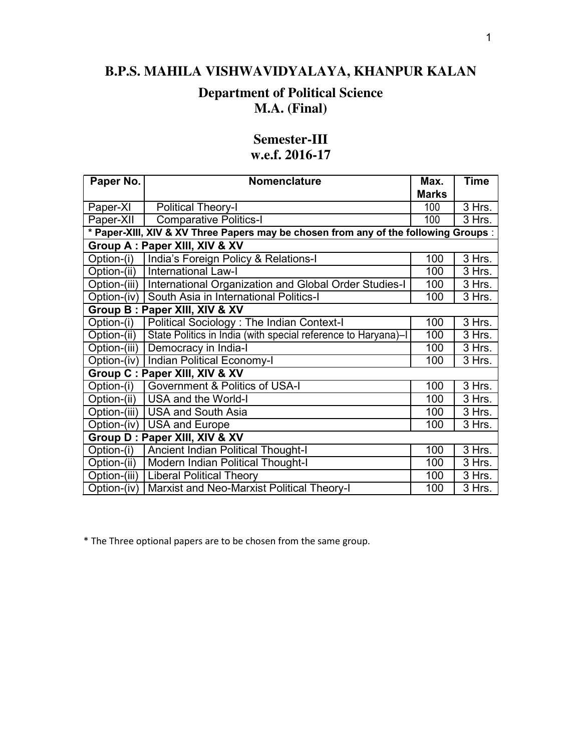# **B.P.S. MAHILA VISHWAVIDYALAYA, KHANPUR KALAN**

# **Department of Political Science M.A. (Final)**

# **Semester-III w.e.f. 2016-17**

| Paper No.                      | <b>Nomenclature</b>                                                                 | Max.         | <b>Time</b> |
|--------------------------------|-------------------------------------------------------------------------------------|--------------|-------------|
|                                |                                                                                     | <b>Marks</b> |             |
| Paper-XI                       | <b>Political Theory-I</b>                                                           | 100          | 3 Hrs.      |
| Paper-XII                      | <b>Comparative Politics-I</b>                                                       | 100          | 3 Hrs.      |
|                                | * Paper-XIII, XIV & XV Three Papers may be chosen from any of the following Groups: |              |             |
|                                | Group A : Paper XIII, XIV & XV                                                      |              |             |
| Option-(i)                     | India's Foreign Policy & Relations-I                                                | 100          | 3 Hrs.      |
| Option-(ii)                    | <b>International Law-I</b>                                                          | 100          | 3 Hrs.      |
| Option-(iii)                   | International Organization and Global Order Studies-I                               | 100          | 3 Hrs.      |
| Option-(iv)                    | South Asia in International Politics-I                                              | 100          | 3 Hrs.      |
|                                | Group B: Paper XIII, XIV & XV                                                       |              |             |
| Option-(i)                     | Political Sociology: The Indian Context-I                                           | 100          | 3 Hrs.      |
| Option-(ii)                    | State Politics in India (with special reference to Haryana)-I                       | 100          | 3 Hrs.      |
| Option-(iii)                   | Democracy in India-I                                                                | 100          | 3 Hrs.      |
| Option-(iv)                    | Indian Political Economy-I                                                          | 100          | 3 Hrs.      |
|                                | Group C : Paper XIII, XIV & XV                                                      |              |             |
| Option-(i)                     | Government & Politics of USA-I                                                      | 100          | 3 Hrs.      |
| Option-(ii)                    | USA and the World-I                                                                 | 100          | 3 Hrs.      |
| Option-(iii)                   | <b>USA and South Asia</b>                                                           | 100          | 3 Hrs.      |
| Option-(iv)                    | <b>USA and Europe</b>                                                               | 100          | 3 Hrs.      |
| Group D : Paper XIII, XIV & XV |                                                                                     |              |             |
| Option-(i)                     | Ancient Indian Political Thought-I                                                  | 100          | 3 Hrs.      |
| Option-(ii)                    | Modern Indian Political Thought-I                                                   | 100          | 3 Hrs.      |
| Option-(iii)                   | <b>Liberal Political Theory</b>                                                     | 100          | 3 Hrs.      |
| Option-(iv)                    | Marxist and Neo-Marxist Political Theory-I                                          | 100          | 3 Hrs.      |

\* The Three optional papers are to be chosen from the same group.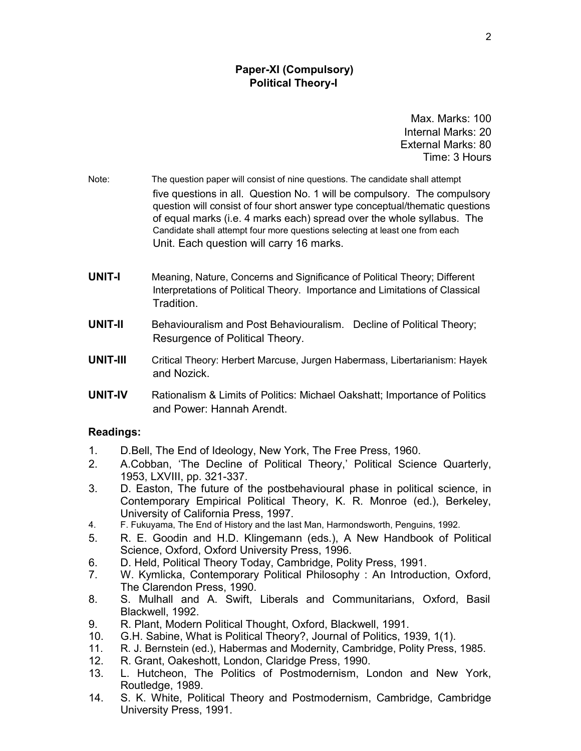# **Paper-XI (Compulsory) Political Theory-I**

Max. Marks: 100 Internal Marks: 20 External Marks: 80 Time: 3 Hours

- Note: The question paper will consist of nine questions. The candidate shall attempt five questions in all. Question No. 1 will be compulsory. The compulsory question will consist of four short answer type conceptual/thematic questions of equal marks (i.e. 4 marks each) spread over the whole syllabus. The Candidate shall attempt four more questions selecting at least one from each Unit. Each question will carry 16 marks.
- **UNIT-I** Meaning, Nature, Concerns and Significance of Political Theory; Different Interpretations of Political Theory. Importance and Limitations of Classical Tradition.
- **UNIT-II** Behaviouralism and Post Behaviouralism. Decline of Political Theory; Resurgence of Political Theory.
- **UNIT-III** Critical Theory: Herbert Marcuse, Jurgen Habermass, Libertarianism: Hayek and Nozick.
- **UNIT-IV** Rationalism & Limits of Politics: Michael Oakshatt; Importance of Politics and Power: Hannah Arendt.

- 1. D.Bell, The End of Ideology, New York, The Free Press, 1960.
- 2. A.Cobban, 'The Decline of Political Theory,' Political Science Quarterly, 1953, LXVIII, pp. 321-337.
- 3. D. Easton, The future of the postbehavioural phase in political science, in Contemporary Empirical Political Theory, K. R. Monroe (ed.), Berkeley, University of California Press, 1997.
- 4. F. Fukuyama, The End of History and the last Man, Harmondsworth, Penguins, 1992.
- 5. R. E. Goodin and H.D. Klingemann (eds.), A New Handbook of Political Science, Oxford, Oxford University Press, 1996.
- 6. D. Held, Political Theory Today, Cambridge, Polity Press, 1991.
- 7. W. Kymlicka, Contemporary Political Philosophy : An Introduction, Oxford, The Clarendon Press, 1990.
- 8. S. Mulhall and A. Swift, Liberals and Communitarians, Oxford, Basil Blackwell, 1992.
- 9. R. Plant, Modern Political Thought, Oxford, Blackwell, 1991.
- 10. G.H. Sabine, What is Political Theory?, Journal of Politics, 1939, 1(1).
- 11. R. J. Bernstein (ed.), Habermas and Modernity, Cambridge, Polity Press, 1985.
- 12. R. Grant, Oakeshott, London, Claridge Press, 1990.
- 13. L. Hutcheon, The Politics of Postmodernism, London and New York, Routledge, 1989.
- 14. S. K. White, Political Theory and Postmodernism, Cambridge, Cambridge University Press, 1991.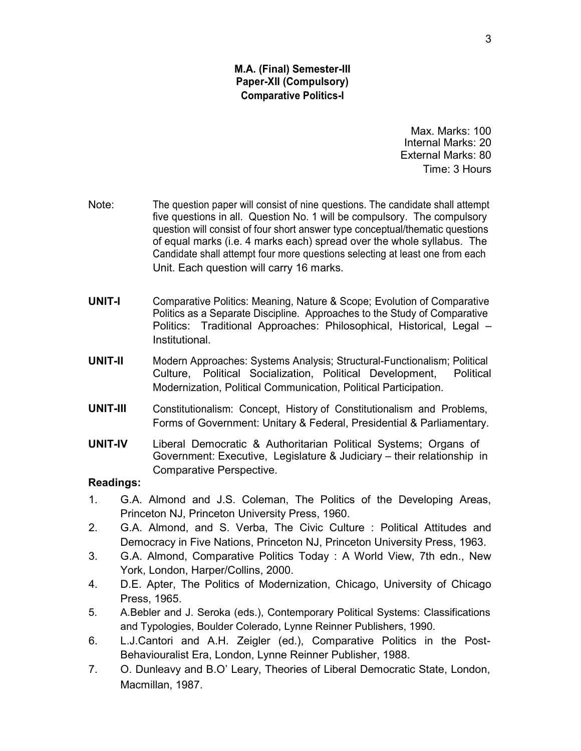# **M.A. (Final) Semester-III Paper-XII (Compulsory) Comparative Politics-I**

Max. Marks: 100 Internal Marks: 20 External Marks: 80 Time: 3 Hours

- Note: The question paper will consist of nine questions. The candidate shall attempt five questions in all. Question No. 1 will be compulsory. The compulsory question will consist of four short answer type conceptual/thematic questions of equal marks (i.e. 4 marks each) spread over the whole syllabus. The Candidate shall attempt four more questions selecting at least one from each Unit. Each question will carry 16 marks.
- **UNIT-I** Comparative Politics: Meaning, Nature & Scope; Evolution of Comparative Politics as a Separate Discipline. Approaches to the Study of Comparative Politics: Traditional Approaches: Philosophical, Historical, Legal – Institutional.
- **UNIT-II** Modern Approaches: Systems Analysis; Structural-Functionalism; Political Culture, Political Socialization, Political Development, Political Modernization, Political Communication, Political Participation.
- **UNIT-III** Constitutionalism: Concept, History of Constitutionalism and Problems, Forms of Government: Unitary & Federal, Presidential & Parliamentary.
- **UNIT-IV** Liberal Democratic & Authoritarian Political Systems; Organs of Government: Executive, Legislature & Judiciary – their relationship in Comparative Perspective.

- 1. G.A. Almond and J.S. Coleman, The Politics of the Developing Areas, Princeton NJ, Princeton University Press, 1960.
- 2. G.A. Almond, and S. Verba, The Civic Culture : Political Attitudes and Democracy in Five Nations, Princeton NJ, Princeton University Press, 1963.
- 3. G.A. Almond, Comparative Politics Today : A World View, 7th edn., New York, London, Harper/Collins, 2000.
- 4. D.E. Apter, The Politics of Modernization, Chicago, University of Chicago Press, 1965.
- 5. A.Bebler and J. Seroka (eds.), Contemporary Political Systems: Classifications and Typologies, Boulder Colerado, Lynne Reinner Publishers, 1990.
- 6. L.J.Cantori and A.H. Zeigler (ed.), Comparative Politics in the Post-Behaviouralist Era, London, Lynne Reinner Publisher, 1988.
- 7. O. Dunleavy and B.O' Leary, Theories of Liberal Democratic State, London, Macmillan, 1987.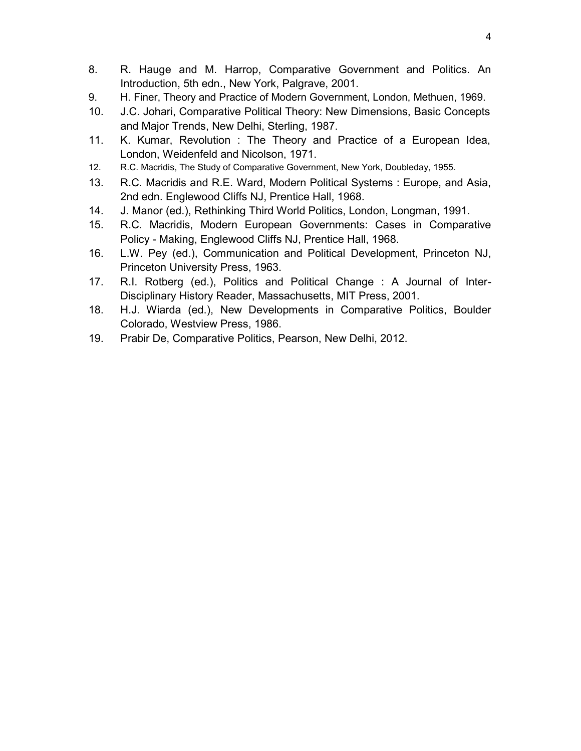- 8. R. Hauge and M. Harrop, Comparative Government and Politics. An Introduction, 5th edn., New York, Palgrave, 2001.
- 9. H. Finer, Theory and Practice of Modern Government, London, Methuen, 1969.
- 10. J.C. Johari, Comparative Political Theory: New Dimensions, Basic Concepts and Major Trends, New Delhi, Sterling, 1987.
- 11. K. Kumar, Revolution : The Theory and Practice of a European Idea, London, Weidenfeld and Nicolson, 1971.
- 12. R.C. Macridis, The Study of Comparative Government, New York, Doubleday, 1955.
- 13. R.C. Macridis and R.E. Ward, Modern Political Systems : Europe, and Asia, 2nd edn. Englewood Cliffs NJ, Prentice Hall, 1968.
- 14. J. Manor (ed.), Rethinking Third World Politics, London, Longman, 1991.
- 15. R.C. Macridis, Modern European Governments: Cases in Comparative Policy - Making, Englewood Cliffs NJ, Prentice Hall, 1968.
- 16. L.W. Pey (ed.), Communication and Political Development, Princeton NJ, Princeton University Press, 1963.
- 17. R.I. Rotberg (ed.), Politics and Political Change : A Journal of Inter-Disciplinary History Reader, Massachusetts, MIT Press, 2001.
- 18. H.J. Wiarda (ed.), New Developments in Comparative Politics, Boulder Colorado, Westview Press, 1986.
- 19. Prabir De, Comparative Politics, Pearson, New Delhi, 2012.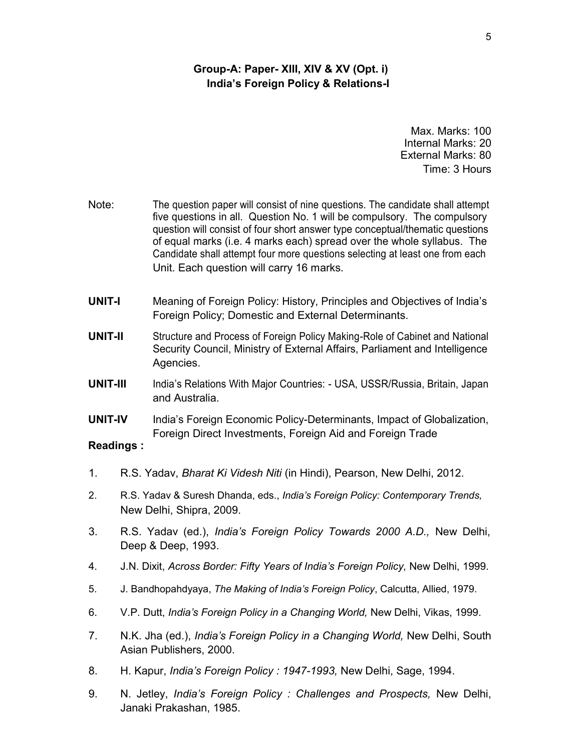# **Group-A: Paper- XIII, XIV & XV (Opt. i) India's Foreign Policy & Relations-I**

Max. Marks: 100 Internal Marks: 20 External Marks: 80 Time: 3 Hours

- Note: The question paper will consist of nine questions. The candidate shall attempt five questions in all. Question No. 1 will be compulsory. The compulsory question will consist of four short answer type conceptual/thematic questions of equal marks (i.e. 4 marks each) spread over the whole syllabus. The Candidate shall attempt four more questions selecting at least one from each Unit. Each question will carry 16 marks.
- **UNIT-I** Meaning of Foreign Policy: History, Principles and Objectives of India's Foreign Policy; Domestic and External Determinants.
- **UNIT-II** Structure and Process of Foreign Policy Making-Role of Cabinet and National Security Council, Ministry of External Affairs, Parliament and Intelligence Agencies.
- **UNIT-III** India's Relations With Major Countries: USA, USSR/Russia, Britain, Japan and Australia.
- **UNIT-IV** India's Foreign Economic Policy-Determinants, Impact of Globalization, Foreign Direct Investments, Foreign Aid and Foreign Trade

- 1. R.S. Yadav, *Bharat Ki Videsh Niti* (in Hindi), Pearson, New Delhi, 2012.
- 2. R.S. Yadav & Suresh Dhanda, eds., *India's Foreign Policy: Contemporary Trends,* New Delhi, Shipra, 2009.
- 3. R.S. Yadav (ed.), *India's Foreign Policy Towards 2000 A.D.,* New Delhi, Deep & Deep, 1993.
- 4. J.N. Dixit, *Across Border: Fifty Years of India's Foreign Policy,* New Delhi, 1999.
- 5. J. Bandhopahdyaya, *The Making of India's Foreign Policy*, Calcutta, Allied, 1979.
- 6. V.P. Dutt, *India's Foreign Policy in a Changing World,* New Delhi, Vikas, 1999.
- 7. N.K. Jha (ed.), *India's Foreign Policy in a Changing World,* New Delhi, South Asian Publishers, 2000.
- 8. H. Kapur, *India's Foreign Policy : 1947-1993,* New Delhi, Sage, 1994.
- 9. N. Jetley, *India's Foreign Policy : Challenges and Prospects,* New Delhi, Janaki Prakashan, 1985.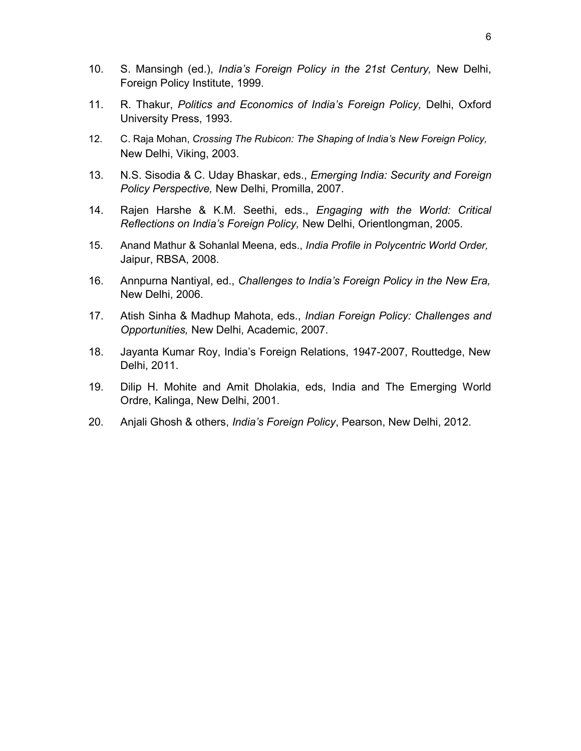- 10. S. Mansingh (ed.), *India's Foreign Policy in the 21st Century,* New Delhi, Foreign Policy Institute, 1999.
- 11. R. Thakur, *Politics and Economics of India's Foreign Policy,* Delhi, Oxford University Press, 1993.
- 12. C. Raja Mohan, *Crossing The Rubicon: The Shaping of India's New Foreign Policy,* New Delhi, Viking, 2003.
- 13. N.S. Sisodia & C. Uday Bhaskar, eds., *Emerging India: Security and Foreign Policy Perspective,* New Delhi, Promilla, 2007.
- 14. Rajen Harshe & K.M. Seethi, eds., *Engaging with the World: Critical Reflections on India's Foreign Policy,* New Delhi, Orientlongman, 2005.
- 15. Anand Mathur & Sohanlal Meena, eds., *India Profile in Polycentric World Order,* Jaipur, RBSA, 2008.
- 16. Annpurna Nantiyal, ed., *Challenges to India's Foreign Policy in the New Era,* New Delhi, 2006.
- 17. Atish Sinha & Madhup Mahota, eds., *Indian Foreign Policy: Challenges and Opportunities,* New Delhi, Academic, 2007.
- 18. Jayanta Kumar Roy, India's Foreign Relations, 1947-2007, Routtedge, New Delhi, 2011.
- 19. Dilip H. Mohite and Amit Dholakia, eds, India and The Emerging World Ordre, Kalinga, New Delhi, 2001.
- 20. Anjali Ghosh & others, *India's Foreign Policy*, Pearson, New Delhi, 2012.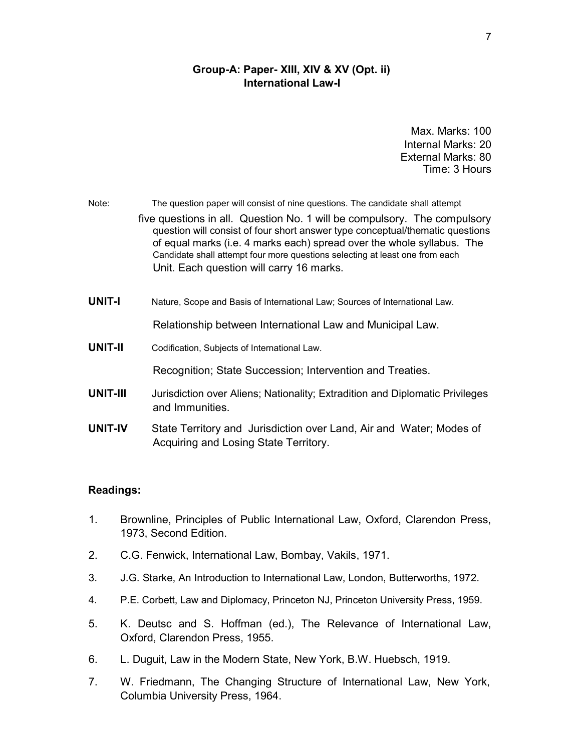## **Group-A: Paper- XIII, XIV & XV (Opt. ii) International Law-I**

Max. Marks: 100 Internal Marks: 20 External Marks: 80 Time: 3 Hours

| Note:          | The question paper will consist of nine questions. The candidate shall attempt                                                                                                                                                                                                                                                                                  |  |
|----------------|-----------------------------------------------------------------------------------------------------------------------------------------------------------------------------------------------------------------------------------------------------------------------------------------------------------------------------------------------------------------|--|
|                | five questions in all. Question No. 1 will be compulsory. The compulsory<br>question will consist of four short answer type conceptual/thematic questions<br>of equal marks (i.e. 4 marks each) spread over the whole syllabus. The<br>Candidate shall attempt four more questions selecting at least one from each<br>Unit. Each question will carry 16 marks. |  |
| <b>UNIT-I</b>  | Nature, Scope and Basis of International Law; Sources of International Law.                                                                                                                                                                                                                                                                                     |  |
|                | Relationship between International Law and Municipal Law.                                                                                                                                                                                                                                                                                                       |  |
| <b>UNIT-II</b> | Codification, Subjects of International Law.                                                                                                                                                                                                                                                                                                                    |  |
|                | Recognition; State Succession; Intervention and Treaties.                                                                                                                                                                                                                                                                                                       |  |
| UNIT-III       | Jurisdiction over Aliens; Nationality; Extradition and Diplomatic Privileges<br>and Immunities.                                                                                                                                                                                                                                                                 |  |
| UNIT-IV        | State Territory and Jurisdiction over Land, Air and Water; Modes of<br>Acquiring and Losing State Territory.                                                                                                                                                                                                                                                    |  |
|                |                                                                                                                                                                                                                                                                                                                                                                 |  |

- 1. Brownline, Principles of Public International Law, Oxford, Clarendon Press, 1973, Second Edition.
- 2. C.G. Fenwick, International Law, Bombay, Vakils, 1971.
- 3. J.G. Starke, An Introduction to International Law, London, Butterworths, 1972.
- 4. P.E. Corbett, Law and Diplomacy, Princeton NJ, Princeton University Press, 1959.
- 5. K. Deutsc and S. Hoffman (ed.), The Relevance of International Law, Oxford, Clarendon Press, 1955.
- 6. L. Duguit, Law in the Modern State, New York, B.W. Huebsch, 1919.
- 7. W. Friedmann, The Changing Structure of International Law, New York, Columbia University Press, 1964.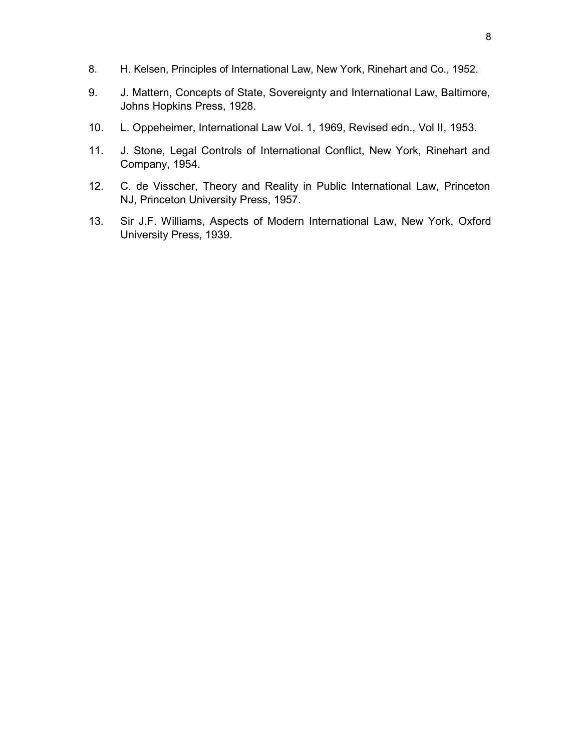- 8. H. Kelsen, Principles of International Law, New York, Rinehart and Co., 1952.
- 9. J. Mattern, Concepts of State, Sovereignty and International Law, Baltimore, Johns Hopkins Press, 1928.
- 10. L. Oppeheimer, International Law Vol. 1, 1969, Revised edn., Vol II, 1953.
- 11. J. Stone, Legal Controls of International Conflict, New York, Rinehart and Company, 1954.
- 12. C. de Visscher, Theory and Reality in Public International Law, Princeton NJ, Princeton University Press, 1957.
- 13. Sir J.F. Williams, Aspects of Modern International Law, New York, Oxford University Press, 1939.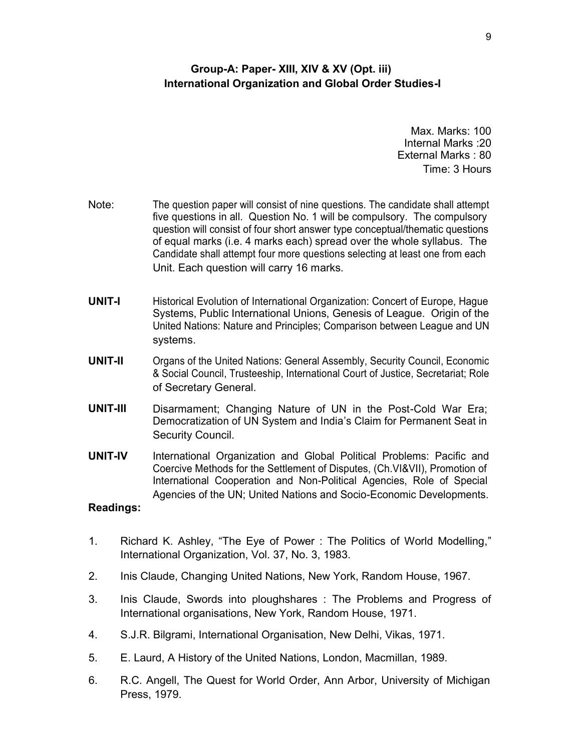# **Group-A: Paper- XIII, XIV & XV (Opt. iii) International Organization and Global Order Studies-I**

Max. Marks: 100 Internal Marks :20 External Marks : 80 Time: 3 Hours

- Note: The question paper will consist of nine questions. The candidate shall attempt five questions in all. Question No. 1 will be compulsory. The compulsory question will consist of four short answer type conceptual/thematic questions of equal marks (i.e. 4 marks each) spread over the whole syllabus. The Candidate shall attempt four more questions selecting at least one from each Unit. Each question will carry 16 marks.
- **UNIT-I** Historical Evolution of International Organization: Concert of Europe, Hague Systems, Public International Unions, Genesis of League. Origin of the United Nations: Nature and Principles; Comparison between League and UN systems.
- **UNIT-II** Organs of the United Nations: General Assembly, Security Council, Economic & Social Council, Trusteeship, International Court of Justice, Secretariat; Role of Secretary General.
- **UNIT-III** Disarmament; Changing Nature of UN in the Post-Cold War Era; Democratization of UN System and India's Claim for Permanent Seat in Security Council.
- **UNIT-IV** International Organization and Global Political Problems: Pacific and Coercive Methods for the Settlement of Disputes, (Ch.VI&VII), Promotion of International Cooperation and Non-Political Agencies, Role of Special Agencies of the UN; United Nations and Socio-Economic Developments.

- 1. Richard K. Ashley, "The Eye of Power : The Politics of World Modelling," International Organization, Vol. 37, No. 3, 1983.
- 2. Inis Claude, Changing United Nations, New York, Random House, 1967.
- 3. Inis Claude, Swords into ploughshares : The Problems and Progress of International organisations, New York, Random House, 1971.
- 4. S.J.R. Bilgrami, International Organisation, New Delhi, Vikas, 1971.
- 5. E. Laurd, A History of the United Nations, London, Macmillan, 1989.
- 6. R.C. Angell, The Quest for World Order, Ann Arbor, University of Michigan Press, 1979.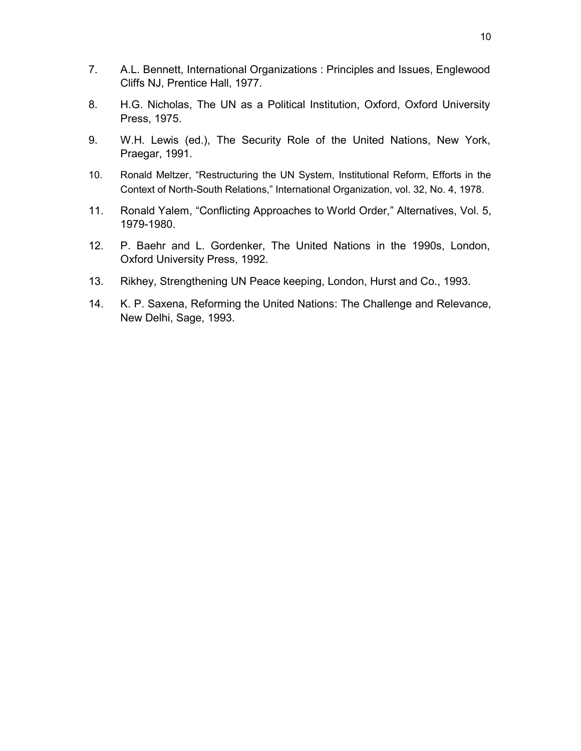- 7. A.L. Bennett, International Organizations : Principles and Issues, Englewood Cliffs NJ, Prentice Hall, 1977.
- 8. H.G. Nicholas, The UN as a Political Institution, Oxford, Oxford University Press, 1975.
- 9. W.H. Lewis (ed.), The Security Role of the United Nations, New York, Praegar, 1991.
- 10. Ronald Meltzer, "Restructuring the UN System, Institutional Reform, Efforts in the Context of North-South Relations," International Organization, vol. 32, No. 4, 1978.
- 11. Ronald Yalem, "Conflicting Approaches to World Order," Alternatives, Vol. 5, 1979-1980.
- 12. P. Baehr and L. Gordenker, The United Nations in the 1990s, London, Oxford University Press, 1992.
- 13. Rikhey, Strengthening UN Peace keeping, London, Hurst and Co., 1993.
- 14. K. P. Saxena, Reforming the United Nations: The Challenge and Relevance, New Delhi, Sage, 1993.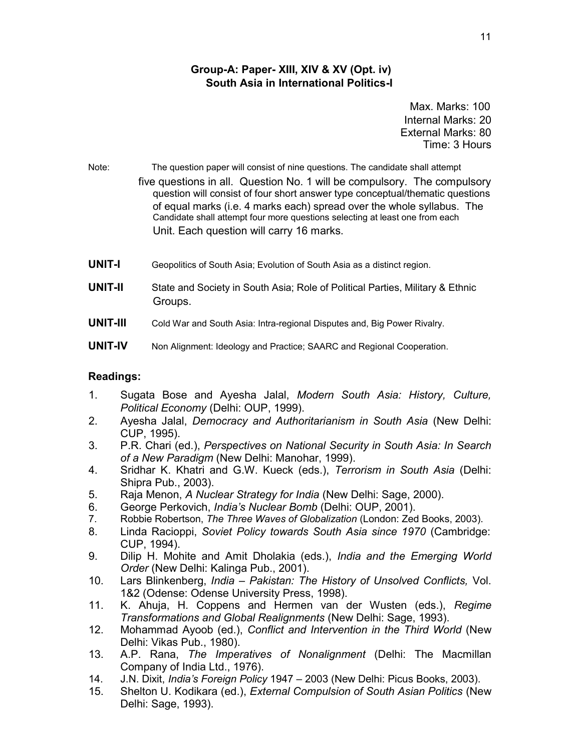# **Group-A: Paper- XIII, XIV & XV (Opt. iv) South Asia in International Politics-I**

Max. Marks: 100 Internal Marks: 20 External Marks: 80 Time: 3 Hours

#### Note: The question paper will consist of nine questions. The candidate shall attempt

- five questions in all. Question No. 1 will be compulsory. The compulsory question will consist of four short answer type conceptual/thematic questions of equal marks (i.e. 4 marks each) spread over the whole syllabus. The Candidate shall attempt four more questions selecting at least one from each Unit. Each question will carry 16 marks.
- **UNIT-I** Geopolitics of South Asia; Evolution of South Asia as a distinct region.
- **UNIT-II** State and Society in South Asia; Role of Political Parties, Military & Ethnic Groups.
- **UNIT-III** Cold War and South Asia: Intra-regional Disputes and, Big Power Rivalry.
- **UNIT-IV** Non Alignment: Ideology and Practice; SAARC and Regional Cooperation.

- 1. Sugata Bose and Ayesha Jalal, *Modern South Asia: History, Culture, Political Economy* (Delhi: OUP, 1999).
- 2. Ayesha Jalal, *Democracy and Authoritarianism in South Asia* (New Delhi: CUP, 1995).
- 3. P.R. Chari (ed.), *Perspectives on National Security in South Asia: In Search of a New Paradigm* (New Delhi: Manohar, 1999).
- 4. Sridhar K. Khatri and G.W. Kueck (eds.), *Terrorism in South Asia* (Delhi: Shipra Pub., 2003).
- 5. Raja Menon, *A Nuclear Strategy for India* (New Delhi: Sage, 2000).
- 6. George Perkovich, *India's Nuclear Bomb* (Delhi: OUP, 2001).
- 7. Robbie Robertson, *The Three Waves of Globalization* (London: Zed Books, 2003).
- 8. Linda Racioppi, *Soviet Policy towards South Asia since 1970* (Cambridge: CUP, 1994).
- 9. Dilip H. Mohite and Amit Dholakia (eds.), *India and the Emerging World Order* (New Delhi: Kalinga Pub., 2001).
- 10. Lars Blinkenberg, *India – Pakistan: The History of Unsolved Conflicts,* Vol. 1&2 (Odense: Odense University Press, 1998).
- 11. K. Ahuja, H. Coppens and Hermen van der Wusten (eds.), *Regime Transformations and Global Realignments* (New Delhi: Sage, 1993).
- 12. Mohammad Ayoob (ed.), *Conflict and Intervention in the Third World* (New Delhi: Vikas Pub., 1980).
- 13. A.P. Rana, *The Imperatives of Nonalignment* (Delhi: The Macmillan Company of India Ltd., 1976).
- 14. J.N. Dixit, *India's Foreign Policy* 1947 2003 (New Delhi: Picus Books, 2003).
- 15. Shelton U. Kodikara (ed.), *External Compulsion of South Asian Politics* (New Delhi: Sage, 1993).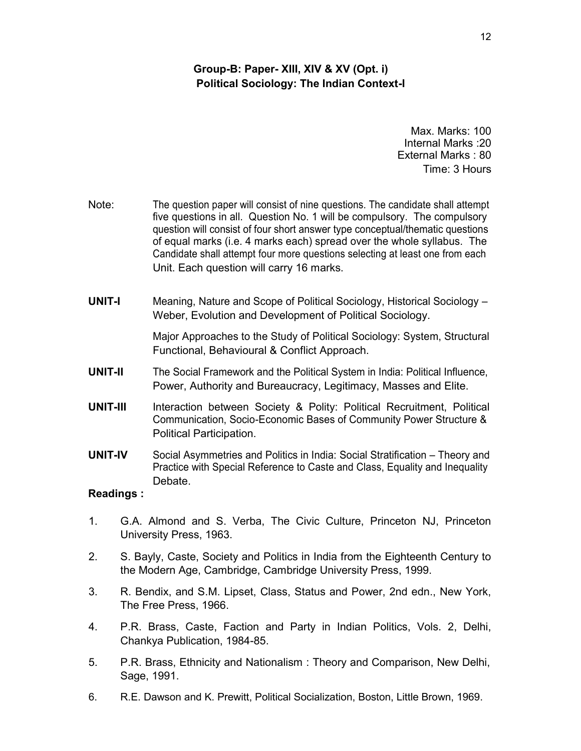# **Group-B: Paper- XIII, XIV & XV (Opt. i) Political Sociology: The Indian Context-I**

Max. Marks: 100 Internal Marks :20 External Marks : 80 Time: 3 Hours

- Note: The question paper will consist of nine questions. The candidate shall attempt five questions in all. Question No. 1 will be compulsory. The compulsory question will consist of four short answer type conceptual/thematic questions of equal marks (i.e. 4 marks each) spread over the whole syllabus. The Candidate shall attempt four more questions selecting at least one from each Unit. Each question will carry 16 marks.
- **UNIT-I** Meaning, Nature and Scope of Political Sociology, Historical Sociology Weber, Evolution and Development of Political Sociology.

Major Approaches to the Study of Political Sociology: System, Structural Functional, Behavioural & Conflict Approach.

- **UNIT-II** The Social Framework and the Political System in India: Political Influence, Power, Authority and Bureaucracy, Legitimacy, Masses and Elite.
- **UNIT-III** Interaction between Society & Polity: Political Recruitment, Political Communication, Socio-Economic Bases of Community Power Structure & Political Participation.
- **UNIT-IV** Social Asymmetries and Politics in India: Social Stratification Theory and Practice with Special Reference to Caste and Class, Equality and Inequality Debate.

- 1. G.A. Almond and S. Verba, The Civic Culture, Princeton NJ, Princeton University Press, 1963.
- 2. S. Bayly, Caste, Society and Politics in India from the Eighteenth Century to the Modern Age, Cambridge, Cambridge University Press, 1999.
- 3. R. Bendix, and S.M. Lipset, Class, Status and Power, 2nd edn., New York, The Free Press, 1966.
- 4. P.R. Brass, Caste, Faction and Party in Indian Politics, Vols. 2, Delhi, Chankya Publication, 1984-85.
- 5. P.R. Brass, Ethnicity and Nationalism : Theory and Comparison, New Delhi, Sage, 1991.
- 6. R.E. Dawson and K. Prewitt, Political Socialization, Boston, Little Brown, 1969.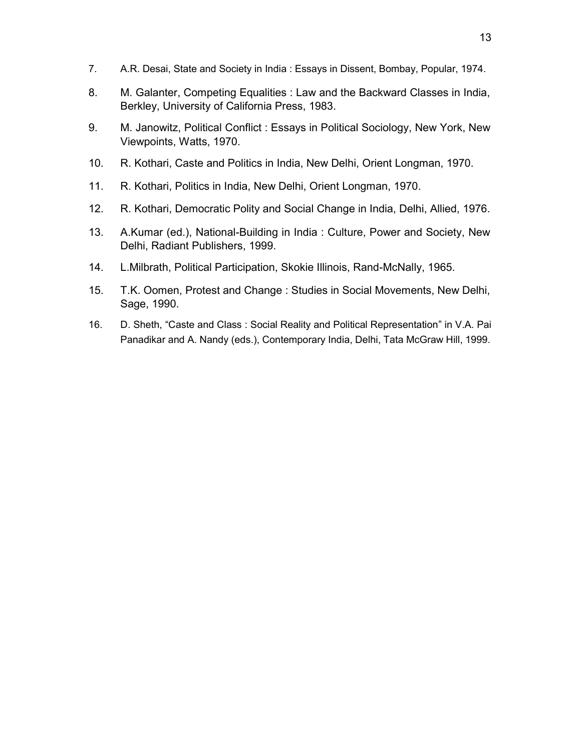- 7. A.R. Desai, State and Society in India : Essays in Dissent, Bombay, Popular, 1974.
- 8. M. Galanter, Competing Equalities : Law and the Backward Classes in India, Berkley, University of California Press, 1983.
- 9. M. Janowitz, Political Conflict : Essays in Political Sociology, New York, New Viewpoints, Watts, 1970.
- 10. R. Kothari, Caste and Politics in India, New Delhi, Orient Longman, 1970.
- 11. R. Kothari, Politics in India, New Delhi, Orient Longman, 1970.
- 12. R. Kothari, Democratic Polity and Social Change in India, Delhi, Allied, 1976.
- 13. A.Kumar (ed.), National-Building in India : Culture, Power and Society, New Delhi, Radiant Publishers, 1999.
- 14. L.Milbrath, Political Participation, Skokie Illinois, Rand-McNally, 1965.
- 15. T.K. Oomen, Protest and Change : Studies in Social Movements, New Delhi, Sage, 1990.
- 16. D. Sheth, "Caste and Class : Social Reality and Political Representation" in V.A. Pai Panadikar and A. Nandy (eds.), Contemporary India, Delhi, Tata McGraw Hill, 1999.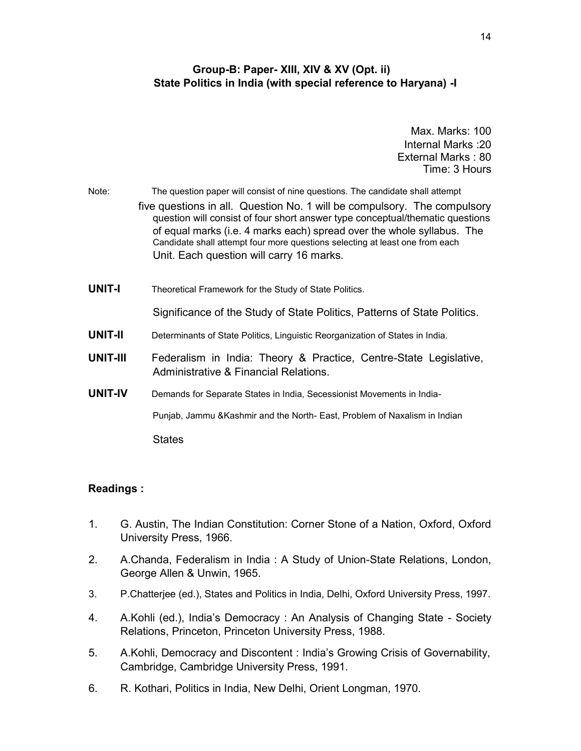# **Group-B: Paper- XIII, XIV & XV (Opt. ii) State Politics in India (with special reference to Haryana) -I**

Max. Marks: 100 Internal Marks :20 External Marks : 80 Time: 3 Hours

| Note:         | The question paper will consist of nine questions. The candidate shall attempt                                                                                                                     |
|---------------|----------------------------------------------------------------------------------------------------------------------------------------------------------------------------------------------------|
|               | five questions in all. Question No. 1 will be compulsory. The compulsory<br>question will consist of four short answer type conceptual/thematic questions                                          |
|               | of equal marks (i.e. 4 marks each) spread over the whole syllabus. The<br>Candidate shall attempt four more questions selecting at least one from each<br>Unit. Each question will carry 16 marks. |
| <b>UNIT-I</b> | Theoretical Framework for the Study of State Politics.                                                                                                                                             |

Significance of the Study of State Politics, Patterns of State Politics.

- **UNIT-II** Determinants of State Politics, Linguistic Reorganization of States in India.
- **UNIT-III** Federalism in India: Theory & Practice, Centre-State Legislative, Administrative & Financial Relations.
- **UNIT-IV** Demands for Separate States in India, Secessionist Movements in India-

Punjab, Jammu &Kashmir and the North- East, Problem of Naxalism in Indian

**States** 

- 1. G. Austin, The Indian Constitution: Corner Stone of a Nation, Oxford, Oxford University Press, 1966.
- 2. A.Chanda, Federalism in India : A Study of Union-State Relations, London, George Allen & Unwin, 1965.
- 3. P.Chatterjee (ed.), States and Politics in India, Delhi, Oxford University Press, 1997.
- 4. A.Kohli (ed.), India's Democracy : An Analysis of Changing State Society Relations, Princeton, Princeton University Press, 1988.
- 5. A.Kohli, Democracy and Discontent : India's Growing Crisis of Governability, Cambridge, Cambridge University Press, 1991.
- 6. R. Kothari, Politics in India, New Delhi, Orient Longman, 1970.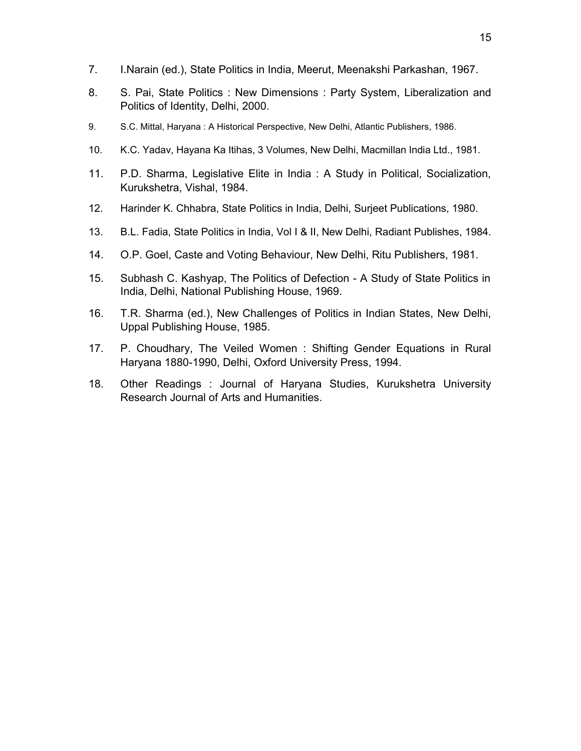- 7. I.Narain (ed.), State Politics in India, Meerut, Meenakshi Parkashan, 1967.
- 8. S. Pai, State Politics : New Dimensions : Party System, Liberalization and Politics of Identity, Delhi, 2000.
- 9. S.C. Mittal, Haryana : A Historical Perspective, New Delhi, Atlantic Publishers, 1986.
- 10. K.C. Yadav, Hayana Ka Itihas, 3 Volumes, New Delhi, Macmillan India Ltd., 1981.
- 11. P.D. Sharma, Legislative Elite in India : A Study in Political, Socialization, Kurukshetra, Vishal, 1984.
- 12. Harinder K. Chhabra, State Politics in India, Delhi, Surjeet Publications, 1980.
- 13. B.L. Fadia, State Politics in India, Vol I & II, New Delhi, Radiant Publishes, 1984.
- 14. O.P. Goel, Caste and Voting Behaviour, New Delhi, Ritu Publishers, 1981.
- 15. Subhash C. Kashyap, The Politics of Defection A Study of State Politics in India, Delhi, National Publishing House, 1969.
- 16. T.R. Sharma (ed.), New Challenges of Politics in Indian States, New Delhi, Uppal Publishing House, 1985.
- 17. P. Choudhary, The Veiled Women : Shifting Gender Equations in Rural Haryana 1880-1990, Delhi, Oxford University Press, 1994.
- 18. Other Readings : Journal of Haryana Studies, Kurukshetra University Research Journal of Arts and Humanities.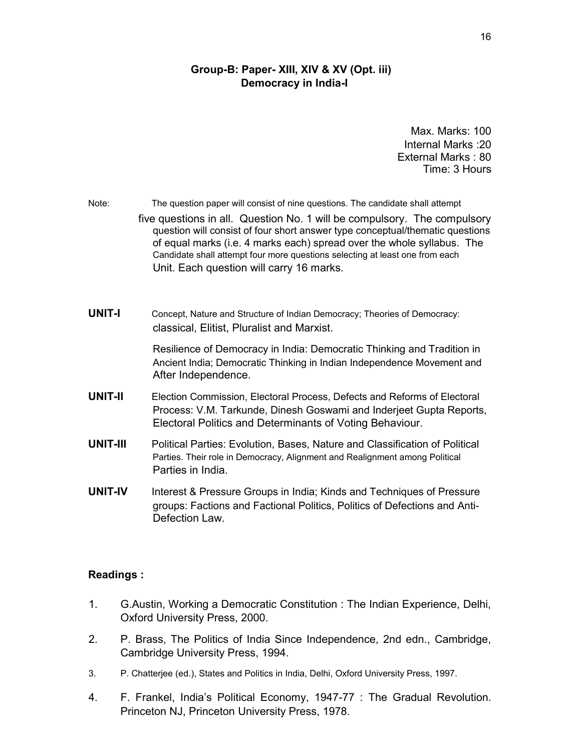## **Group-B: Paper- XIII, XIV & XV (Opt. iii) Democracy in India-I**

Max. Marks: 100 Internal Marks :20 External Marks : 80 Time: 3 Hours

| Note: | The question paper will consist of nine questions. The candidate shall attempt |  |
|-------|--------------------------------------------------------------------------------|--|
|       | five questions in all Ousstian No. 4 will be sempulsery. The sempulse          |  |

five questions in all. Question No. 1 will be compulsory. The compulsory question will consist of four short answer type conceptual/thematic questions of equal marks (i.e. 4 marks each) spread over the whole syllabus. The Candidate shall attempt four more questions selecting at least one from each Unit. Each question will carry 16 marks.

**UNIT-I** Concept, Nature and Structure of Indian Democracy; Theories of Democracy: classical, Elitist, Pluralist and Marxist.

> Resilience of Democracy in India: Democratic Thinking and Tradition in Ancient India; Democratic Thinking in Indian Independence Movement and After Independence.

- **UNIT-II** Election Commission, Electoral Process, Defects and Reforms of Electoral Process: V.M. Tarkunde, Dinesh Goswami and Inderjeet Gupta Reports, Electoral Politics and Determinants of Voting Behaviour.
- **UNIT-III** Political Parties: Evolution, Bases, Nature and Classification of Political Parties. Their role in Democracy, Alignment and Realignment among Political Parties in India.
- **UNIT-IV** Interest & Pressure Groups in India; Kinds and Techniques of Pressure groups: Factions and Factional Politics, Politics of Defections and Anti-Defection Law.

- 1. G.Austin, Working a Democratic Constitution : The Indian Experience, Delhi, Oxford University Press, 2000.
- 2. P. Brass, The Politics of India Since Independence, 2nd edn., Cambridge, Cambridge University Press, 1994.
- 3. P. Chatterjee (ed.), States and Politics in India, Delhi, Oxford University Press, 1997.
- 4. F. Frankel, India's Political Economy, 1947-77 : The Gradual Revolution. Princeton NJ, Princeton University Press, 1978.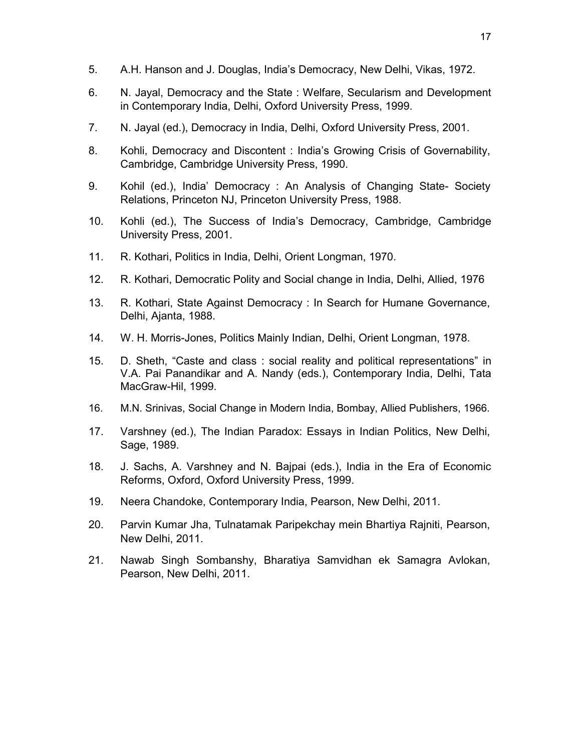- 5. A.H. Hanson and J. Douglas, India's Democracy, New Delhi, Vikas, 1972.
- 6. N. Jayal, Democracy and the State : Welfare, Secularism and Development in Contemporary India, Delhi, Oxford University Press, 1999.
- 7. N. Jayal (ed.), Democracy in India, Delhi, Oxford University Press, 2001.
- 8. Kohli, Democracy and Discontent : India's Growing Crisis of Governability, Cambridge, Cambridge University Press, 1990.
- 9. Kohil (ed.), India' Democracy : An Analysis of Changing State- Society Relations, Princeton NJ, Princeton University Press, 1988.
- 10. Kohli (ed.), The Success of India's Democracy, Cambridge, Cambridge University Press, 2001.
- 11. R. Kothari, Politics in India, Delhi, Orient Longman, 1970.
- 12. R. Kothari, Democratic Polity and Social change in India, Delhi, Allied, 1976
- 13. R. Kothari, State Against Democracy : In Search for Humane Governance, Delhi, Ajanta, 1988.
- 14. W. H. Morris-Jones, Politics Mainly Indian, Delhi, Orient Longman, 1978.
- 15. D. Sheth, "Caste and class : social reality and political representations" in V.A. Pai Panandikar and A. Nandy (eds.), Contemporary India, Delhi, Tata MacGraw-Hil, 1999.
- 16. M.N. Srinivas, Social Change in Modern India, Bombay, Allied Publishers, 1966.
- 17. Varshney (ed.), The Indian Paradox: Essays in Indian Politics, New Delhi, Sage, 1989.
- 18. J. Sachs, A. Varshney and N. Bajpai (eds.), India in the Era of Economic Reforms, Oxford, Oxford University Press, 1999.
- 19. Neera Chandoke, Contemporary India, Pearson, New Delhi, 2011.
- 20. Parvin Kumar Jha, Tulnatamak Paripekchay mein Bhartiya Rajniti, Pearson, New Delhi, 2011.
- 21. Nawab Singh Sombanshy, Bharatiya Samvidhan ek Samagra Avlokan, Pearson, New Delhi, 2011.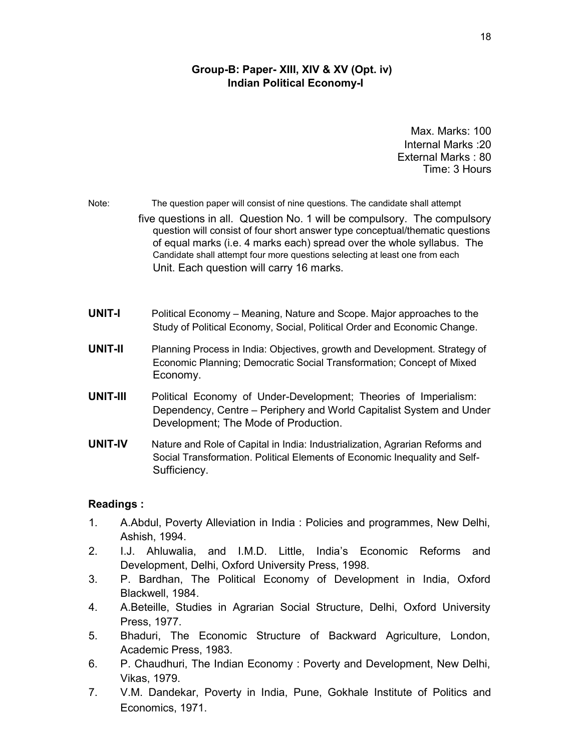# **Group-B: Paper- XIII, XIV & XV (Opt. iv) Indian Political Economy-I**

Max. Marks: 100 Internal Marks :20 External Marks : 80 Time: 3 Hours

Note: The question paper will consist of nine questions. The candidate shall attempt five questions in all. Question No. 1 will be compulsory. The compulsory question will consist of four short answer type conceptual/thematic questions of equal marks (i.e. 4 marks each) spread over the whole syllabus. The Candidate shall attempt four more questions selecting at least one from each Unit. Each question will carry 16 marks.

- **UNIT-I** Political Economy Meaning, Nature and Scope. Major approaches to the Study of Political Economy, Social, Political Order and Economic Change.
- **UNIT-II** Planning Process in India: Objectives, growth and Development. Strategy of Economic Planning; Democratic Social Transformation; Concept of Mixed Economy.
- **UNIT-III** Political Economy of Under-Development; Theories of Imperialism: Dependency, Centre – Periphery and World Capitalist System and Under Development; The Mode of Production.
- **UNIT-IV** Nature and Role of Capital in India: Industrialization, Agrarian Reforms and Social Transformation. Political Elements of Economic Inequality and Self-Sufficiency.

- 1. A.Abdul, Poverty Alleviation in India : Policies and programmes, New Delhi, Ashish, 1994.
- 2. I.J. Ahluwalia, and I.M.D. Little, India's Economic Reforms and Development, Delhi, Oxford University Press, 1998.
- 3. P. Bardhan, The Political Economy of Development in India, Oxford Blackwell, 1984.
- 4. A.Beteille, Studies in Agrarian Social Structure, Delhi, Oxford University Press, 1977.
- 5. Bhaduri, The Economic Structure of Backward Agriculture, London, Academic Press, 1983.
- 6. P. Chaudhuri, The Indian Economy : Poverty and Development, New Delhi, Vikas, 1979.
- 7. V.M. Dandekar, Poverty in India, Pune, Gokhale Institute of Politics and Economics, 1971.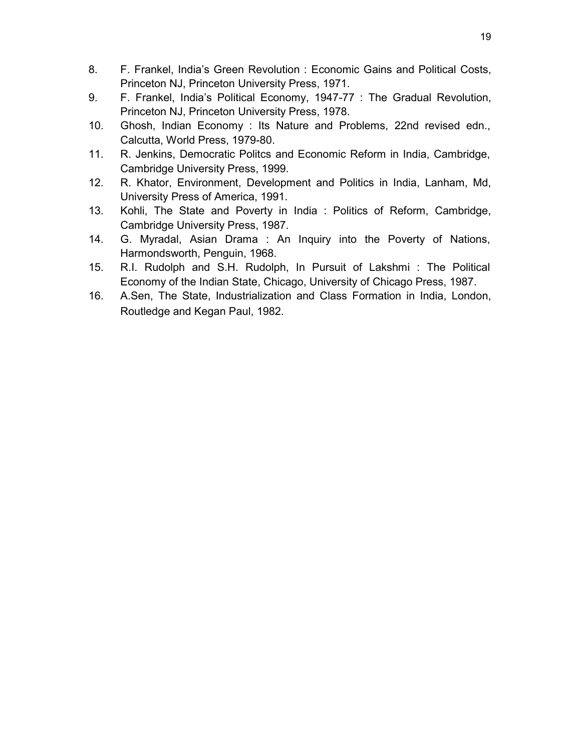- 8. F. Frankel, India's Green Revolution : Economic Gains and Political Costs, Princeton NJ, Princeton University Press, 1971.
- 9. F. Frankel, India's Political Economy, 1947-77 : The Gradual Revolution, Princeton NJ, Princeton University Press, 1978.
- 10. Ghosh, Indian Economy : Its Nature and Problems, 22nd revised edn., Calcutta, World Press, 1979-80.
- 11. R. Jenkins, Democratic Politcs and Economic Reform in India, Cambridge, Cambridge University Press, 1999.
- 12. R. Khator, Environment, Development and Politics in India, Lanham, Md, University Press of America, 1991.
- 13. Kohli, The State and Poverty in India : Politics of Reform, Cambridge, Cambridge University Press, 1987.
- 14. G. Myradal, Asian Drama : An Inquiry into the Poverty of Nations, Harmondsworth, Penguin, 1968.
- 15. R.I. Rudolph and S.H. Rudolph, In Pursuit of Lakshmi : The Political Economy of the Indian State, Chicago, University of Chicago Press, 1987.
- 16. A.Sen, The State, Industrialization and Class Formation in India, London, Routledge and Kegan Paul, 1982.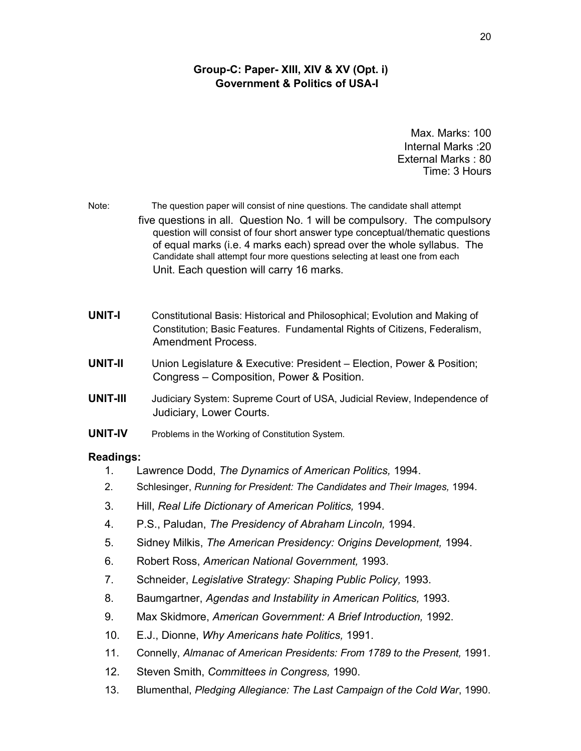# **Group-C: Paper- XIII, XIV & XV (Opt. i) Government & Politics of USA-I**

Max. Marks: 100 Internal Marks :20 External Marks : 80 Time: 3 Hours

- Note: The question paper will consist of nine questions. The candidate shall attempt five questions in all. Question No. 1 will be compulsory. The compulsory question will consist of four short answer type conceptual/thematic questions of equal marks (i.e. 4 marks each) spread over the whole syllabus. The Candidate shall attempt four more questions selecting at least one from each Unit. Each question will carry 16 marks.
- **UNIT-I** Constitutional Basis: Historical and Philosophical; Evolution and Making of Constitution; Basic Features. Fundamental Rights of Citizens, Federalism, Amendment Process.
- **UNIT-II** Union Legislature & Executive: President Election, Power & Position; Congress – Composition, Power & Position.
- **UNIT-III** Judiciary System: Supreme Court of USA, Judicial Review, Independence of Judiciary, Lower Courts.
- **UNIT-IV** Problems in the Working of Constitution System.

- 1. Lawrence Dodd, *The Dynamics of American Politics,* 1994.
- 2. Schlesinger, *Running for President: The Candidates and Their Images,* 1994.
- 3. Hill, *Real Life Dictionary of American Politics,* 1994.
- 4. P.S., Paludan, *The Presidency of Abraham Lincoln,* 1994.
- 5. Sidney Milkis, *The American Presidency: Origins Development,* 1994.
- 6. Robert Ross, *American National Government,* 1993.
- 7. Schneider, *Legislative Strategy: Shaping Public Policy,* 1993.
- 8. Baumgartner, *Agendas and Instability in American Politics,* 1993.
- 9. Max Skidmore, *American Government: A Brief Introduction,* 1992.
- 10. E.J., Dionne, *Why Americans hate Politics,* 1991.
- 11. Connelly, *Almanac of American Presidents: From 1789 to the Present,* 1991.
- 12. Steven Smith, *Committees in Congress,* 1990.
- 13. Blumenthal, *Pledging Allegiance: The Last Campaign of the Cold War*, 1990.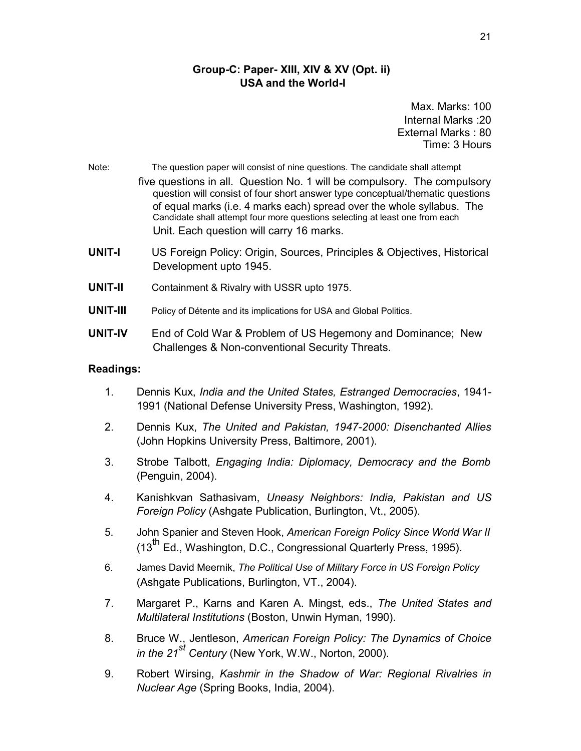# **Group-C: Paper- XIII, XIV & XV (Opt. ii) USA and the World-I**

Max. Marks: 100 Internal Marks :20 External Marks : 80 Time: 3 Hours

Note: The question paper will consist of nine questions. The candidate shall attempt

- five questions in all. Question No. 1 will be compulsory. The compulsory question will consist of four short answer type conceptual/thematic questions of equal marks (i.e. 4 marks each) spread over the whole syllabus. The Candidate shall attempt four more questions selecting at least one from each Unit. Each question will carry 16 marks.
- **UNIT-I** US Foreign Policy: Origin, Sources, Principles & Objectives, Historical Development upto 1945.
- **UNIT-II** Containment & Rivalry with USSR upto 1975.
- **UNIT-III** Policy of Détente and its implications for USA and Global Politics.
- **UNIT-IV** End of Cold War & Problem of US Hegemony and Dominance; New Challenges & Non-conventional Security Threats.

- 1. Dennis Kux, *India and the United States, Estranged Democracies*, 1941- 1991 (National Defense University Press, Washington, 1992).
- 2. Dennis Kux, *The United and Pakistan, 1947-2000: Disenchanted Allies* (John Hopkins University Press, Baltimore, 2001).
- 3. Strobe Talbott, *Engaging India: Diplomacy, Democracy and the Bomb* (Penguin, 2004).
- 4. Kanishkvan Sathasivam, *Uneasy Neighbors: India, Pakistan and US Foreign Policy* (Ashgate Publication, Burlington, Vt., 2005).
- 5. John Spanier and Steven Hook, *American Foreign Policy Since World War II* (13<sup>th</sup> Ed., Washington, D.C., Congressional Quarterly Press, 1995).
- 6. James David Meernik, *The Political Use of Military Force in US Foreign Policy* (Ashgate Publications, Burlington, VT., 2004).
- 7. Margaret P., Karns and Karen A. Mingst, eds., *The United States and Multilateral Institutions* (Boston, Unwin Hyman, 1990).
- 8. Bruce W., Jentleson, *American Foreign Policy: The Dynamics of Choice in the <sup>21</sup>st Century* (New York, W.W., Norton, 2000).
- 9. Robert Wirsing, *Kashmir in the Shadow of War: Regional Rivalries in Nuclear Age* (Spring Books, India, 2004).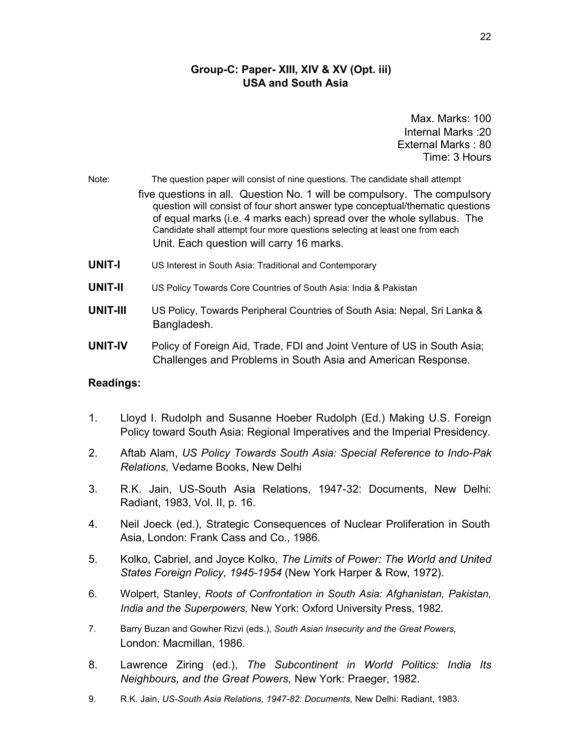# **Group-C: Paper- XIII, XIV & XV (Opt. iii) USA and South Asia**

Max. Marks: 100 Internal Marks :20 External Marks : 80 Time: 3 Hours

Note: The question paper will consist of nine questions. The candidate shall attempt

- five questions in all. Question No. 1 will be compulsory. The compulsory question will consist of four short answer type conceptual/thematic questions of equal marks (i.e. 4 marks each) spread over the whole syllabus. The Candidate shall attempt four more questions selecting at least one from each Unit. Each question will carry 16 marks.
- **UNIT-I** US Interest in South Asia: Traditional and Contemporary
- **UNIT-II** US Policy Towards Core Countries of South Asia: India & Pakistan
- **UNIT-III** US Policy, Towards Peripheral Countries of South Asia: Nepal, Sri Lanka & Bangladesh.
- **UNIT-IV** Policy of Foreign Aid, Trade, FDI and Joint Venture of US in South Asia; Challenges and Problems in South Asia and American Response.

- 1. Lloyd I. Rudolph and Susanne Hoeber Rudolph (Ed.) Making U.S. Foreign Policy toward South Asia: Regional Imperatives and the Imperial Presidency.
- 2. Aftab Alam, *US Policy Towards South Asia: Special Reference to Indo-Pak Relations,* Vedame Books, New Delhi
- 3. R.K. Jain, US-South Asia Relations, 1947-32: Documents, New Delhi: Radiant, 1983, Vol. II, p. 16.
- 4. Neil Joeck (ed.), Strategic Consequences of Nuclear Proliferation in South Asia, London: Frank Cass and Co., 1986.
- 5. Kolko, Cabriel, and Joyce Kolko, *The Limits of Power: The World and United States Foreign Policy, 1945-1954* (New York Harper & Row, 1972).
- 6. Wolpert, Stanley, *Roots of Confrontation in South Asia: Afghanistan, Pakistan, India and the Superpowers,* New York: Oxford University Press, 1982.
- 7. Barry Buzan and Gowher Rizvi (eds.), *South Asian Insecurity and the Great Powers,* London*:* Macmillan, 1986.
- 8. Lawrence Ziring (ed.), *The Subcontinent in World Politics: India Its Neighbours, and the Great Powers,* New York: Praeger, 1982.
- 9. R.K. Jain, *US-South Asia Relations, 1947-82: Documents*, New Delhi: Radiant, 1983.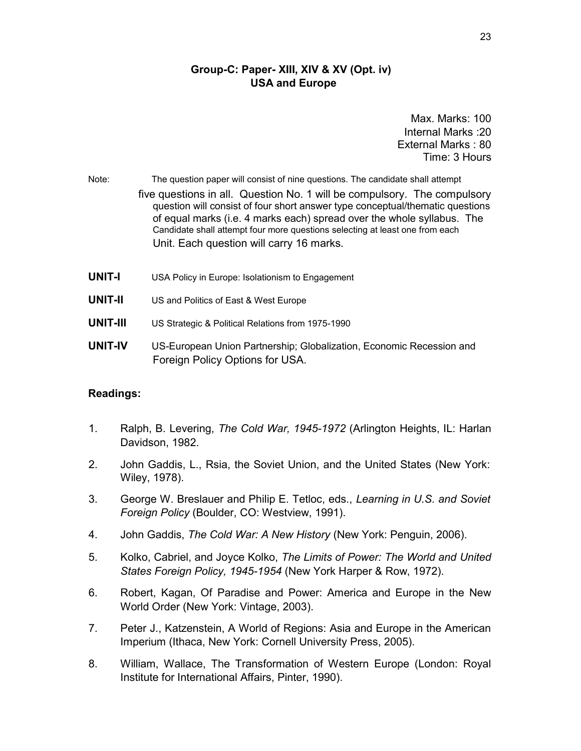# **Group-C: Paper- XIII, XIV & XV (Opt. iv) USA and Europe**

Max. Marks: 100 Internal Marks :20 External Marks : 80 Time: 3 Hours

Note: The question paper will consist of nine questions. The candidate shall attempt five questions in all. Question No. 1 will be compulsory. The compulsory question will consist of four short answer type conceptual/thematic questions of equal marks (i.e. 4 marks each) spread over the whole syllabus. The Candidate shall attempt four more questions selecting at least one from each Unit. Each question will carry 16 marks.

- **UNIT-I** USA Policy in Europe: Isolationism to Engagement
- **UNIT-II** US and Politics of East & West Europe
- **UNIT-III** US Strategic & Political Relations from 1975-1990
- **UNIT-IV** US-European Union Partnership; Globalization, Economic Recession and Foreign Policy Options for USA.

- 1. Ralph, B. Levering, *The Cold War, 1945-1972* (Arlington Heights, IL: Harlan Davidson, 1982.
- 2. John Gaddis, L., Rsia, the Soviet Union, and the United States (New York: Wiley, 1978).
- 3. George W. Breslauer and Philip E. Tetloc, eds., *Learning in U.S. and Soviet Foreign Policy* (Boulder, CO: Westview, 1991).
- 4. John Gaddis, *The Cold War: A New History* (New York: Penguin, 2006).
- 5. Kolko, Cabriel, and Joyce Kolko, *The Limits of Power: The World and United States Foreign Policy, 1945-1954* (New York Harper & Row, 1972).
- 6. Robert, Kagan, Of Paradise and Power: America and Europe in the New World Order (New York: Vintage, 2003).
- 7. Peter J., Katzenstein, A World of Regions: Asia and Europe in the American Imperium (Ithaca, New York: Cornell University Press, 2005).
- 8. William, Wallace, The Transformation of Western Europe (London: Royal Institute for International Affairs, Pinter, 1990).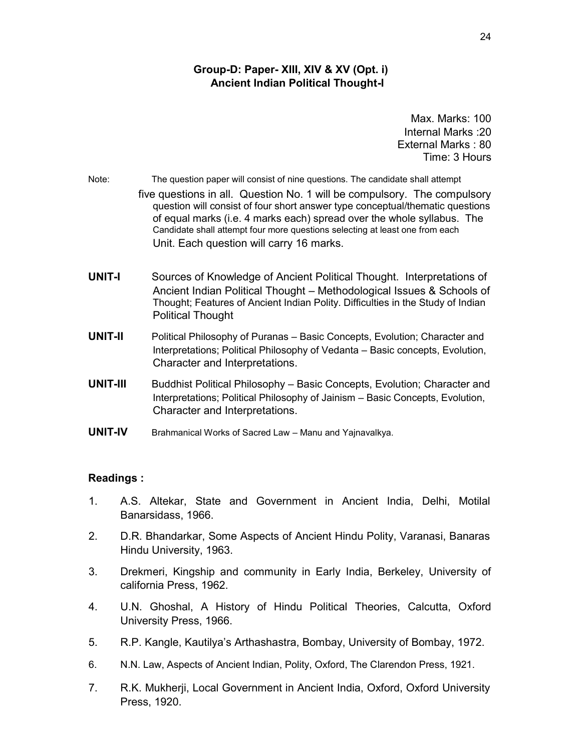## **Group-D: Paper- XIII, XIV & XV (Opt. i) Ancient Indian Political Thought-I**

Max. Marks: 100 Internal Marks :20 External Marks : 80 Time: 3 Hours

| Note:          | The question paper will consist of nine questions. The candidate shall attempt<br>five questions in all. Question No. 1 will be compulsory. The compulsory<br>question will consist of four short answer type conceptual/thematic questions<br>of equal marks (i.e. 4 marks each) spread over the whole syllabus. The<br>Candidate shall attempt four more questions selecting at least one from each<br>Unit. Each question will carry 16 marks. |
|----------------|---------------------------------------------------------------------------------------------------------------------------------------------------------------------------------------------------------------------------------------------------------------------------------------------------------------------------------------------------------------------------------------------------------------------------------------------------|
| <b>UNIT-I</b>  | Sources of Knowledge of Ancient Political Thought. Interpretations of<br>Ancient Indian Political Thought - Methodological Issues & Schools of<br>Thought; Features of Ancient Indian Polity. Difficulties in the Study of Indian<br><b>Political Thought</b>                                                                                                                                                                                     |
| <b>UNIT-II</b> | Political Philosophy of Puranas – Basic Concepts, Evolution; Character and<br>Interpretations; Political Philosophy of Vedanta - Basic concepts, Evolution,<br>Character and Interpretations.                                                                                                                                                                                                                                                     |
| UNIT-III       | Buddhist Political Philosophy – Basic Concepts, Evolution; Character and<br>Interpretations; Political Philosophy of Jainism - Basic Concepts, Evolution,<br>Character and Interpretations.                                                                                                                                                                                                                                                       |

**UNIT-IV** Brahmanical Works of Sacred Law – Manu and Yajnavalkya.

- 1. A.S. Altekar, State and Government in Ancient India, Delhi, Motilal Banarsidass, 1966.
- 2. D.R. Bhandarkar, Some Aspects of Ancient Hindu Polity, Varanasi, Banaras Hindu University, 1963.
- 3. Drekmeri, Kingship and community in Early India, Berkeley, University of california Press, 1962.
- 4. U.N. Ghoshal, A History of Hindu Political Theories, Calcutta, Oxford University Press, 1966.
- 5. R.P. Kangle, Kautilya's Arthashastra, Bombay, University of Bombay, 1972.
- 6. N.N. Law, Aspects of Ancient Indian, Polity, Oxford, The Clarendon Press, 1921.
- 7. R.K. Mukherji, Local Government in Ancient India, Oxford, Oxford University Press, 1920.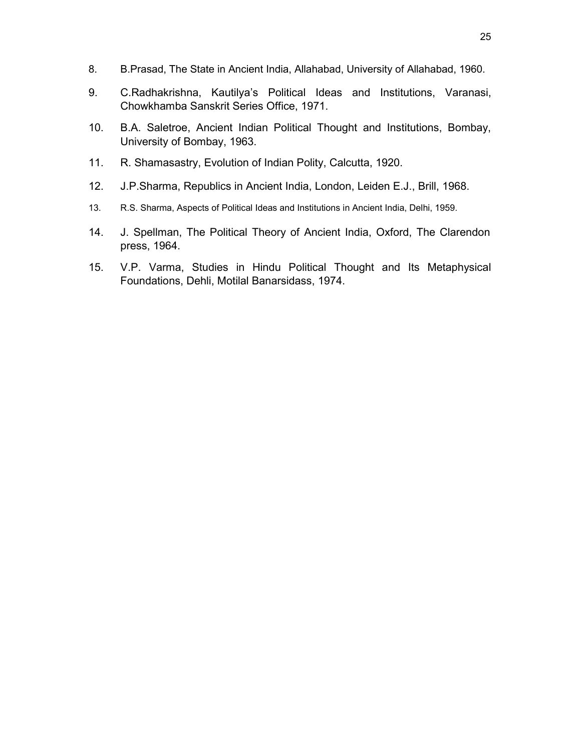- 8. B.Prasad, The State in Ancient India, Allahabad, University of Allahabad, 1960.
- 9. C.Radhakrishna, Kautilya's Political Ideas and Institutions, Varanasi, Chowkhamba Sanskrit Series Office, 1971.
- 10. B.A. Saletroe, Ancient Indian Political Thought and Institutions, Bombay, University of Bombay, 1963.
- 11. R. Shamasastry, Evolution of Indian Polity, Calcutta, 1920.
- 12. J.P.Sharma, Republics in Ancient India, London, Leiden E.J., Brill, 1968.
- 13. R.S. Sharma, Aspects of Political Ideas and Institutions in Ancient India, Delhi, 1959.
- 14. J. Spellman, The Political Theory of Ancient India, Oxford, The Clarendon press, 1964.
- 15. V.P. Varma, Studies in Hindu Political Thought and Its Metaphysical Foundations, Dehli, Motilal Banarsidass, 1974.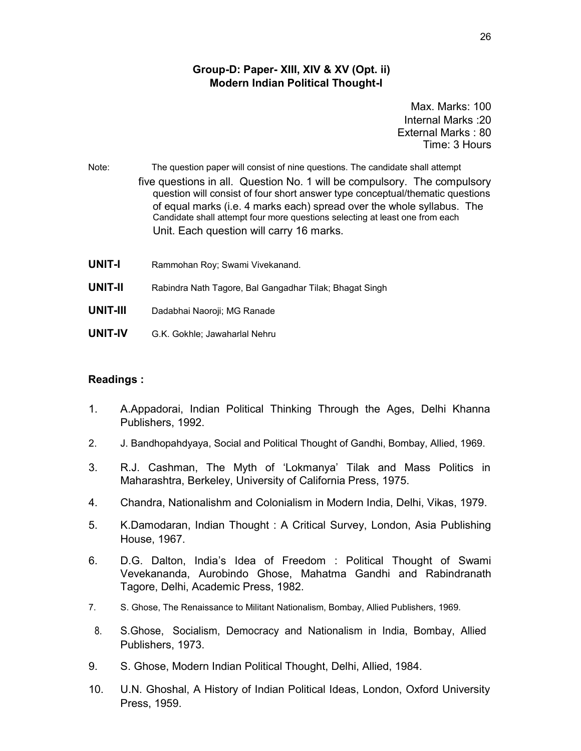## **Group-D: Paper- XIII, XIV & XV (Opt. ii) Modern Indian Political Thought-I**

Max. Marks: 100 Internal Marks :20 External Marks : 80 Time: 3 Hours

# Note: The question paper will consist of nine questions. The candidate shall attempt five questions in all. Question No. 1 will be compulsory. The compulsory

question will consist of four short answer type conceptual/thematic questions of equal marks (i.e. 4 marks each) spread over the whole syllabus. The Candidate shall attempt four more questions selecting at least one from each Unit. Each question will carry 16 marks.

- **UNIT-I** Rammohan Roy; Swami Vivekanand.
- **UNIT-II** Rabindra Nath Tagore, Bal Gangadhar Tilak; Bhagat Singh
- **UNIT-III** Dadabhai Naoroji; MG Ranade
- **UNIT-IV** G.K. Gokhle; Jawaharlal Nehru

- 1. A.Appadorai, Indian Political Thinking Through the Ages, Delhi Khanna Publishers, 1992.
- 2. J. Bandhopahdyaya, Social and Political Thought of Gandhi, Bombay, Allied, 1969.
- 3. R.J. Cashman, The Myth of 'Lokmanya' Tilak and Mass Politics in Maharashtra, Berkeley, University of California Press, 1975.
- 4. Chandra, Nationalishm and Colonialism in Modern India, Delhi, Vikas, 1979.
- 5. K.Damodaran, Indian Thought : A Critical Survey, London, Asia Publishing House, 1967.
- 6. D.G. Dalton, India's Idea of Freedom : Political Thought of Swami Vevekananda, Aurobindo Ghose, Mahatma Gandhi and Rabindranath Tagore, Delhi, Academic Press, 1982.
- 7. S. Ghose, The Renaissance to Militant Nationalism, Bombay, Allied Publishers, 1969.
- 8. S.Ghose, Socialism, Democracy and Nationalism in India, Bombay, Allied Publishers, 1973.
- 9. S. Ghose, Modern Indian Political Thought, Delhi, Allied, 1984.
- 10. U.N. Ghoshal, A History of Indian Political Ideas, London, Oxford University Press, 1959.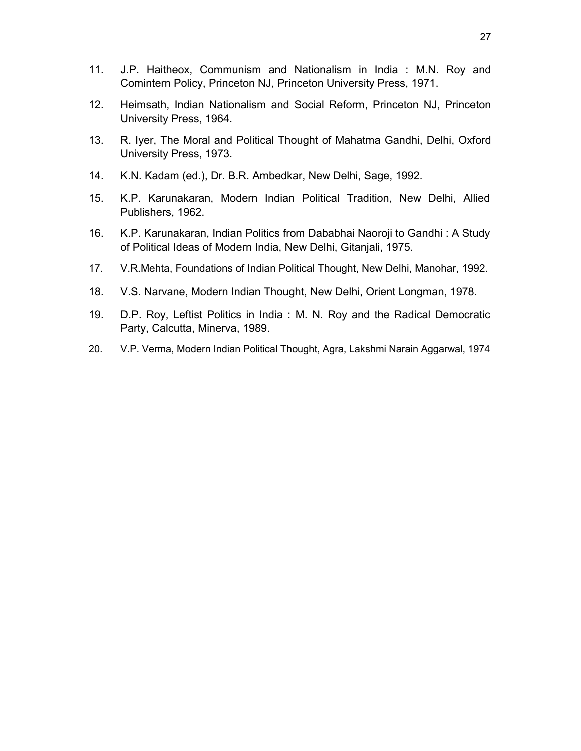- 11. J.P. Haitheox, Communism and Nationalism in India : M.N. Roy and Comintern Policy, Princeton NJ, Princeton University Press, 1971.
- 12. Heimsath, Indian Nationalism and Social Reform, Princeton NJ, Princeton University Press, 1964.
- 13. R. Iyer, The Moral and Political Thought of Mahatma Gandhi, Delhi, Oxford University Press, 1973.
- 14. K.N. Kadam (ed.), Dr. B.R. Ambedkar, New Delhi, Sage, 1992.
- 15. K.P. Karunakaran, Modern Indian Political Tradition, New Delhi, Allied Publishers, 1962.
- 16. K.P. Karunakaran, Indian Politics from Dababhai Naoroji to Gandhi : A Study of Political Ideas of Modern India, New Delhi, Gitanjali, 1975.
- 17. V.R.Mehta, Foundations of Indian Political Thought, New Delhi, Manohar, 1992.
- 18. V.S. Narvane, Modern Indian Thought, New Delhi, Orient Longman, 1978.
- 19. D.P. Roy, Leftist Politics in India : M. N. Roy and the Radical Democratic Party, Calcutta, Minerva, 1989.
- 20. V.P. Verma, Modern Indian Political Thought, Agra, Lakshmi Narain Aggarwal, 1974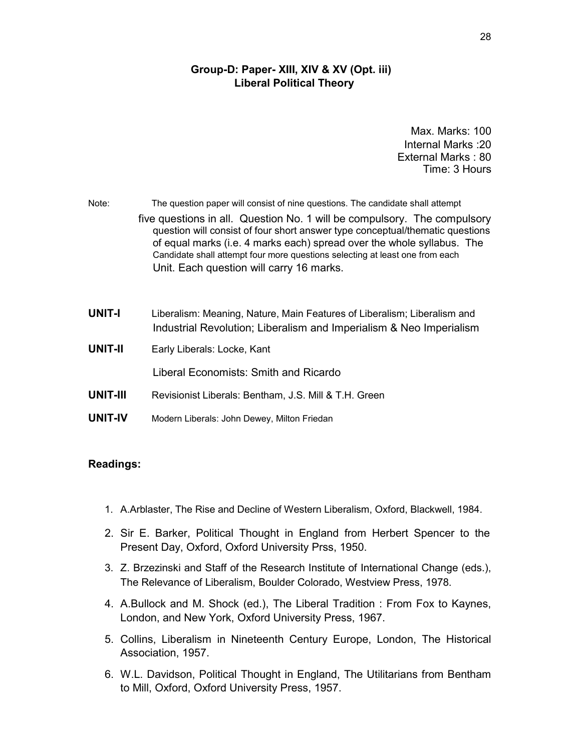## **Group-D: Paper- XIII, XIV & XV (Opt. iii) Liberal Political Theory**

Max. Marks: 100 Internal Marks :20 External Marks : 80 Time: 3 Hours

| Note:           | The question paper will consist of nine questions. The candidate shall attempt<br>five questions in all. Question No. 1 will be compulsory. The compulsory<br>question will consist of four short answer type conceptual/thematic questions<br>of equal marks (i.e. 4 marks each) spread over the whole syllabus. The<br>Candidate shall attempt four more questions selecting at least one from each<br>Unit. Each question will carry 16 marks. |
|-----------------|---------------------------------------------------------------------------------------------------------------------------------------------------------------------------------------------------------------------------------------------------------------------------------------------------------------------------------------------------------------------------------------------------------------------------------------------------|
| <b>UNIT-I</b>   | Liberalism: Meaning, Nature, Main Features of Liberalism; Liberalism and<br>Industrial Revolution; Liberalism and Imperialism & Neo Imperialism                                                                                                                                                                                                                                                                                                   |
| <b>UNIT-II</b>  | Early Liberals: Locke, Kant                                                                                                                                                                                                                                                                                                                                                                                                                       |
|                 | Liberal Economists: Smith and Ricardo                                                                                                                                                                                                                                                                                                                                                                                                             |
| <b>UNIT-III</b> | Revisionist Liberals: Bentham, J.S. Mill & T.H. Green                                                                                                                                                                                                                                                                                                                                                                                             |
| <b>UNIT-IV</b>  | Modern Liberals: John Dewey, Milton Friedan                                                                                                                                                                                                                                                                                                                                                                                                       |

- 1. A.Arblaster, The Rise and Decline of Western Liberalism, Oxford, Blackwell, 1984.
- 2. Sir E. Barker, Political Thought in England from Herbert Spencer to the Present Day, Oxford, Oxford University Prss, 1950.
- 3. Z. Brzezinski and Staff of the Research Institute of International Change (eds.), The Relevance of Liberalism, Boulder Colorado, Westview Press, 1978.
- 4. A.Bullock and M. Shock (ed.), The Liberal Tradition : From Fox to Kaynes, London, and New York, Oxford University Press, 1967.
- 5. Collins, Liberalism in Nineteenth Century Europe, London, The Historical Association, 1957.
- 6. W.L. Davidson, Political Thought in England, The Utilitarians from Bentham to Mill, Oxford, Oxford University Press, 1957.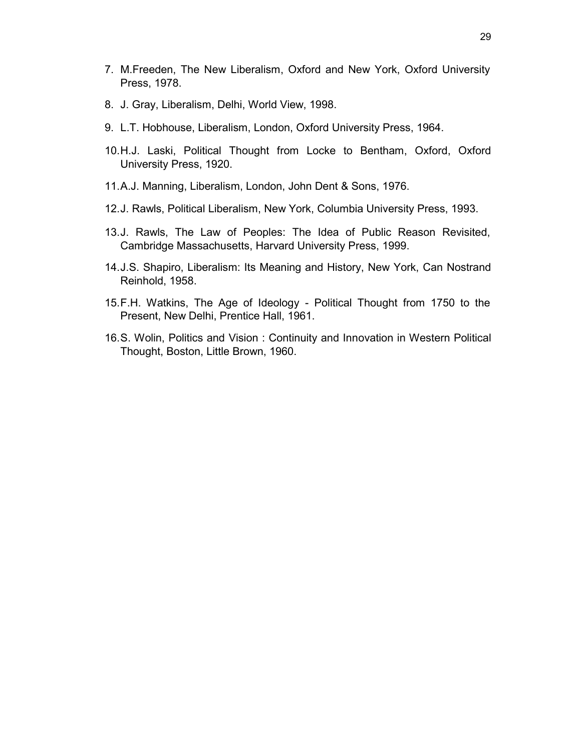- 7. M.Freeden, The New Liberalism, Oxford and New York, Oxford University Press, 1978.
- 8. J. Gray, Liberalism, Delhi, World View, 1998.
- 9. L.T. Hobhouse, Liberalism, London, Oxford University Press, 1964.
- 10. H.J. Laski, Political Thought from Locke to Bentham, Oxford, Oxford University Press, 1920.
- 11. A.J. Manning, Liberalism, London, John Dent & Sons, 1976.
- 12. J. Rawls, Political Liberalism, New York, Columbia University Press, 1993.
- 13. J. Rawls, The Law of Peoples: The Idea of Public Reason Revisited, Cambridge Massachusetts, Harvard University Press, 1999.
- 14. J.S. Shapiro, Liberalism: Its Meaning and History, New York, Can Nostrand Reinhold, 1958.
- 15. F.H. Watkins, The Age of Ideology Political Thought from 1750 to the Present, New Delhi, Prentice Hall, 1961.
- 16. S. Wolin, Politics and Vision : Continuity and Innovation in Western Political Thought, Boston, Little Brown, 1960.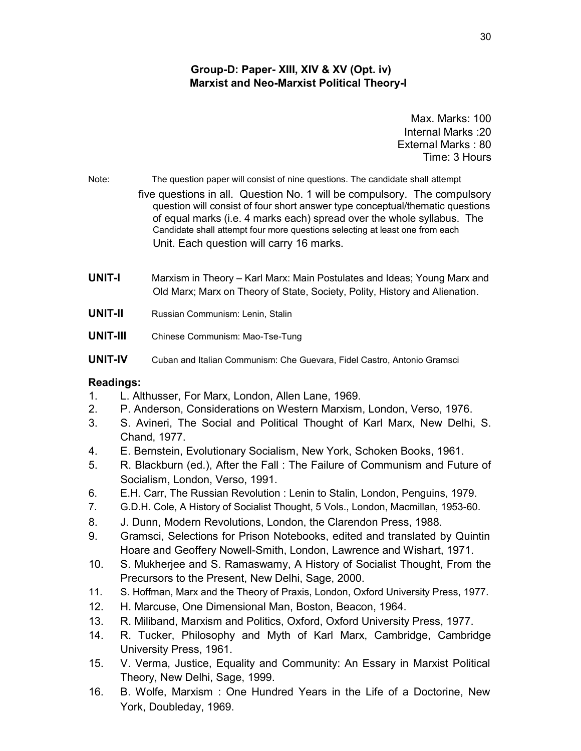# **Group-D: Paper- XIII, XIV & XV (Opt. iv) Marxist and Neo-Marxist Political Theory-I**

Max. Marks: 100 Internal Marks :20 External Marks : 80 Time: 3 Hours

Note: The question paper will consist of nine questions. The candidate shall attempt

five questions in all. Question No. 1 will be compulsory. The compulsory question will consist of four short answer type conceptual/thematic questions of equal marks (i.e. 4 marks each) spread over the whole syllabus. The Candidate shall attempt four more questions selecting at least one from each Unit. Each question will carry 16 marks.

- **UNIT-I** Marxism in Theory Karl Marx: Main Postulates and Ideas; Young Marx and Old Marx; Marx on Theory of State, Society, Polity, History and Alienation.
- **UNIT-II** Russian Communism: Lenin, Stalin
- **UNIT-III** Chinese Communism: Mao-Tse-Tung
- **UNIT-IV** Cuban and Italian Communism: Che Guevara, Fidel Castro, Antonio Gramsci

- 1. L. Althusser, For Marx, London, Allen Lane, 1969.
- 2. P. Anderson, Considerations on Western Marxism, London, Verso, 1976.
- 3. S. Avineri, The Social and Political Thought of Karl Marx, New Delhi, S. Chand, 1977.
- 4. E. Bernstein, Evolutionary Socialism, New York, Schoken Books, 1961.
- 5. R. Blackburn (ed.), After the Fall : The Failure of Communism and Future of Socialism, London, Verso, 1991.
- 6. E.H. Carr, The Russian Revolution : Lenin to Stalin, London, Penguins, 1979.
- 7. G.D.H. Cole, A History of Socialist Thought, 5 Vols., London, Macmillan, 1953-60.
- 8. J. Dunn, Modern Revolutions, London, the Clarendon Press, 1988.
- 9. Gramsci, Selections for Prison Notebooks, edited and translated by Quintin Hoare and Geoffery Nowell-Smith, London, Lawrence and Wishart, 1971.
- 10. S. Mukherjee and S. Ramaswamy, A History of Socialist Thought, From the Precursors to the Present, New Delhi, Sage, 2000.
- 11. S. Hoffman, Marx and the Theory of Praxis, London, Oxford University Press, 1977.
- 12. H. Marcuse, One Dimensional Man, Boston, Beacon, 1964.
- 13. R. Miliband, Marxism and Politics, Oxford, Oxford University Press, 1977.
- 14. R. Tucker, Philosophy and Myth of Karl Marx, Cambridge, Cambridge University Press, 1961.
- 15. V. Verma, Justice, Equality and Community: An Essary in Marxist Political Theory, New Delhi, Sage, 1999.
- 16. B. Wolfe, Marxism : One Hundred Years in the Life of a Doctorine, New York, Doubleday, 1969.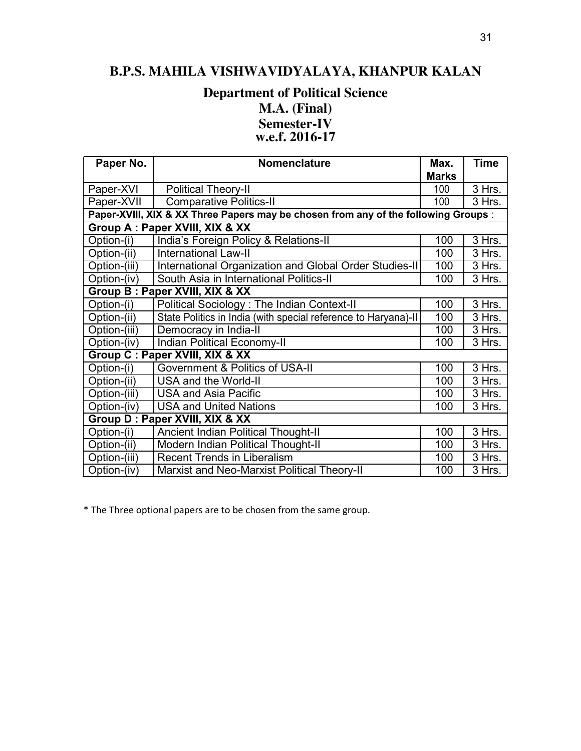# **B.P.S. MAHILA VISHWAVIDYALAYA, KHANPUR KALAN**

# **Department of Political Science M.A. (Final) Semester-IV w.e.f. 2016-17**

| Paper No.                      | <b>Nomenclature</b>                                                                | Max.         | <b>Time</b> |
|--------------------------------|------------------------------------------------------------------------------------|--------------|-------------|
|                                |                                                                                    | <b>Marks</b> |             |
| Paper-XVI                      | <b>Political Theory-II</b>                                                         | 100          | 3 Hrs.      |
| Paper-XVII                     | <b>Comparative Politics-II</b>                                                     | 100          | 3 Hrs.      |
|                                | Paper-XVIII, XIX & XX Three Papers may be chosen from any of the following Groups: |              |             |
|                                | Group A: Paper XVIII, XIX & XX                                                     |              |             |
| Option-(i)                     | India's Foreign Policy & Relations-II                                              | 100          | 3 Hrs.      |
| Option-(ii)                    | <b>International Law-II</b>                                                        | 100          | 3 Hrs.      |
| Option-(iii)                   | International Organization and Global Order Studies-II                             | 100          | 3 Hrs.      |
| Option-(iv)                    | South Asia in International Politics-II                                            | 100          | 3 Hrs.      |
|                                | Group B: Paper XVIII, XIX & XX                                                     |              |             |
| Option-(i)                     | Political Sociology: The Indian Context-II                                         | 100          | 3 Hrs.      |
| Option-(ii)                    | State Politics in India (with special reference to Haryana)-II                     | 100          | 3 Hrs.      |
| Option-(iii)                   | Democracy in India-II                                                              | 100          | 3 Hrs.      |
| Option-(iv)                    | Indian Political Economy-II                                                        | 100          | 3 Hrs.      |
|                                | Group C : Paper XVIII, XIX & XX                                                    |              |             |
| Option-(i)                     | Government & Politics of USA-II                                                    | 100          | 3 Hrs.      |
| Option-(ii)                    | USA and the World-II                                                               | 100          | 3 Hrs.      |
| Option-(iii)                   | <b>USA and Asia Pacific</b>                                                        | 100          | 3 Hrs.      |
| Option-(iv)                    | <b>USA and United Nations</b>                                                      | 100          | 3 Hrs.      |
| Group D: Paper XVIII, XIX & XX |                                                                                    |              |             |
| Option-(i)                     | <b>Ancient Indian Political Thought-II</b>                                         | 100          | 3 Hrs.      |
| Option-(ii)                    | Modern Indian Political Thought-II                                                 | 100          | 3 Hrs.      |
| Option-(iii)                   | Recent Trends in Liberalism                                                        | 100          | 3 Hrs.      |
| Option-(iv)                    | Marxist and Neo-Marxist Political Theory-II                                        | 100          | 3 Hrs.      |

\* The Three optional papers are to be chosen from the same group.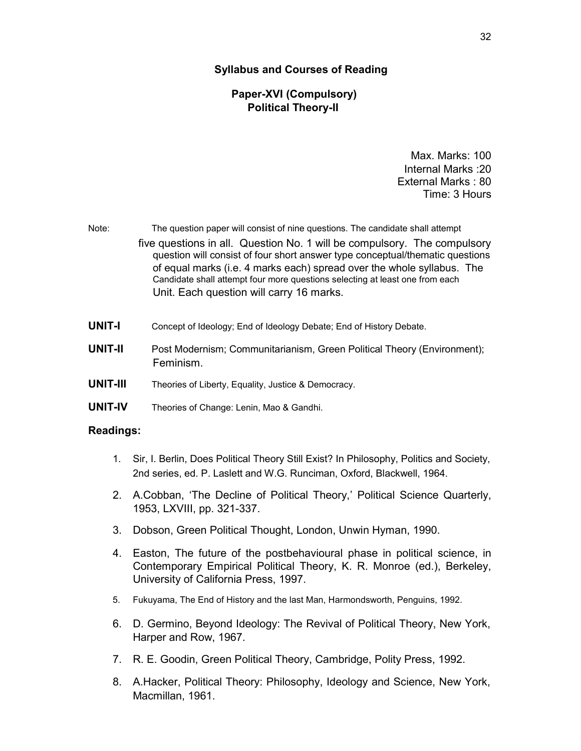## **Syllabus and Courses of Reading**

# **Paper-XVI (Compulsory) Political Theory-II**

Max. Marks: 100 Internal Marks :20 External Marks : 80 Time: 3 Hours

| Note: | The question paper will consist of nine questions. The candidate shall attempt                                                                                                                                                                                                                                                                                  |
|-------|-----------------------------------------------------------------------------------------------------------------------------------------------------------------------------------------------------------------------------------------------------------------------------------------------------------------------------------------------------------------|
|       | five questions in all. Question No. 1 will be compulsory. The compulsory<br>question will consist of four short answer type conceptual/thematic questions<br>of equal marks (i.e. 4 marks each) spread over the whole syllabus. The<br>Candidate shall attempt four more questions selecting at least one from each<br>Unit. Each question will carry 16 marks. |
|       |                                                                                                                                                                                                                                                                                                                                                                 |

- **UNIT-I** Concept of Ideology; End of Ideology Debate; End of History Debate.
- **UNIT-II** Post Modernism; Communitarianism, Green Political Theory (Environment); Feminism.
- **UNIT-III** Theories of Liberty, Equality, Justice & Democracy.
- **UNIT-IV** Theories of Change: Lenin, Mao & Gandhi.

- 1. Sir, I. Berlin, Does Political Theory Still Exist? In Philosophy, Politics and Society, 2nd series, ed. P. Laslett and W.G. Runciman, Oxford, Blackwell, 1964.
- 2. A.Cobban, 'The Decline of Political Theory,' Political Science Quarterly, 1953, LXVIII, pp. 321-337.
- 3. Dobson, Green Political Thought, London, Unwin Hyman, 1990.
- 4. Easton, The future of the postbehavioural phase in political science, in Contemporary Empirical Political Theory, K. R. Monroe (ed.), Berkeley, University of California Press, 1997.
- 5. Fukuyama, The End of History and the last Man, Harmondsworth, Penguins, 1992.
- 6. D. Germino, Beyond Ideology: The Revival of Political Theory, New York, Harper and Row, 1967.
- 7. R. E. Goodin, Green Political Theory, Cambridge, Polity Press, 1992.
- 8. A.Hacker, Political Theory: Philosophy, Ideology and Science, New York, Macmillan, 1961.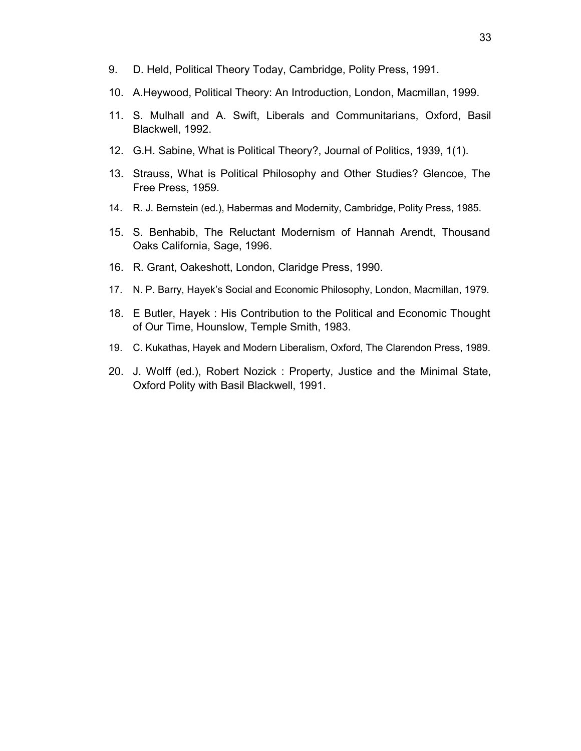- 9. D. Held, Political Theory Today, Cambridge, Polity Press, 1991.
- 10. A.Heywood, Political Theory: An Introduction, London, Macmillan, 1999.
- 11. S. Mulhall and A. Swift, Liberals and Communitarians, Oxford, Basil Blackwell, 1992.
- 12. G.H. Sabine, What is Political Theory?, Journal of Politics, 1939, 1(1).
- 13. Strauss, What is Political Philosophy and Other Studies? Glencoe, The Free Press, 1959.
- 14. R. J. Bernstein (ed.), Habermas and Modernity, Cambridge, Polity Press, 1985.
- 15. S. Benhabib, The Reluctant Modernism of Hannah Arendt, Thousand Oaks California, Sage, 1996.
- 16. R. Grant, Oakeshott, London, Claridge Press, 1990.
- 17. N. P. Barry, Hayek's Social and Economic Philosophy, London, Macmillan, 1979.
- 18. E Butler, Hayek : His Contribution to the Political and Economic Thought of Our Time, Hounslow, Temple Smith, 1983.
- 19. C. Kukathas, Hayek and Modern Liberalism, Oxford, The Clarendon Press, 1989.
- 20. J. Wolff (ed.), Robert Nozick : Property, Justice and the Minimal State, Oxford Polity with Basil Blackwell, 1991.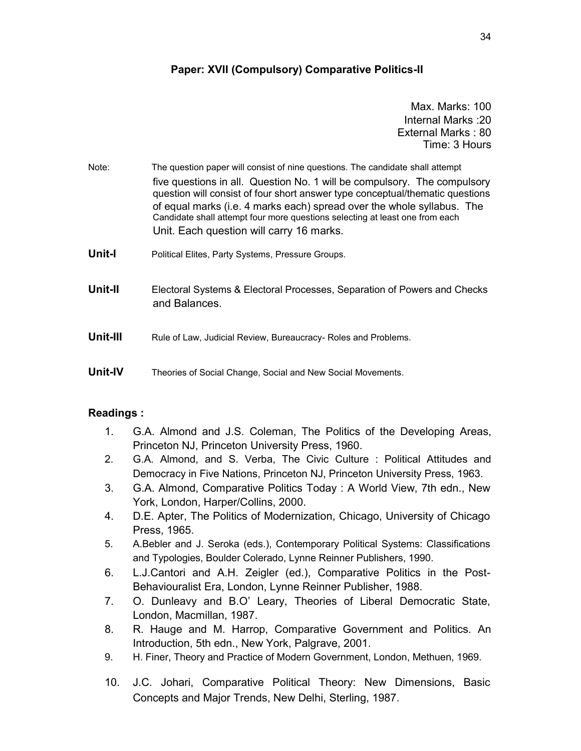# **Paper: XVII (Compulsory) Comparative Politics-II**

Max. Marks: 100 Internal Marks :20 External Marks : 80 Time: 3 Hours

| Note:    | The question paper will consist of nine questions. The candidate shall attempt<br>five questions in all. Question No. 1 will be compulsory. The compulsory<br>question will consist of four short answer type conceptual/thematic questions<br>of equal marks (i.e. 4 marks each) spread over the whole syllabus. The<br>Candidate shall attempt four more questions selecting at least one from each<br>Unit. Each question will carry 16 marks. |
|----------|---------------------------------------------------------------------------------------------------------------------------------------------------------------------------------------------------------------------------------------------------------------------------------------------------------------------------------------------------------------------------------------------------------------------------------------------------|
| Unit-I   | Political Elites, Party Systems, Pressure Groups.                                                                                                                                                                                                                                                                                                                                                                                                 |
| Unit-II  | Electoral Systems & Electoral Processes, Separation of Powers and Checks<br>and Balances.                                                                                                                                                                                                                                                                                                                                                         |
| Unit-III | Rule of Law, Judicial Review, Bureaucracy- Roles and Problems.                                                                                                                                                                                                                                                                                                                                                                                    |
| Unit-IV  | Theories of Social Change, Social and New Social Movements.                                                                                                                                                                                                                                                                                                                                                                                       |

- 1. G.A. Almond and J.S. Coleman, The Politics of the Developing Areas, Princeton NJ, Princeton University Press, 1960.
- 2. G.A. Almond, and S. Verba, The Civic Culture : Political Attitudes and Democracy in Five Nations, Princeton NJ, Princeton University Press, 1963.
- 3. G.A. Almond, Comparative Politics Today : A World View, 7th edn., New York, London, Harper/Collins, 2000.
- 4. D.E. Apter, The Politics of Modernization, Chicago, University of Chicago Press, 1965.
- 5. A.Bebler and J. Seroka (eds.), Contemporary Political Systems: Classifications and Typologies, Boulder Colerado, Lynne Reinner Publishers, 1990.
- 6. L.J.Cantori and A.H. Zeigler (ed.), Comparative Politics in the Post-Behaviouralist Era, London, Lynne Reinner Publisher, 1988.
- 7. O. Dunleavy and B.O' Leary, Theories of Liberal Democratic State, London, Macmillan, 1987.
- 8. R. Hauge and M. Harrop, Comparative Government and Politics. An Introduction, 5th edn., New York, Palgrave, 2001.
- 9. H. Finer, Theory and Practice of Modern Government, London, Methuen, 1969.
- 10. J.C. Johari, Comparative Political Theory: New Dimensions, Basic Concepts and Major Trends, New Delhi, Sterling, 1987.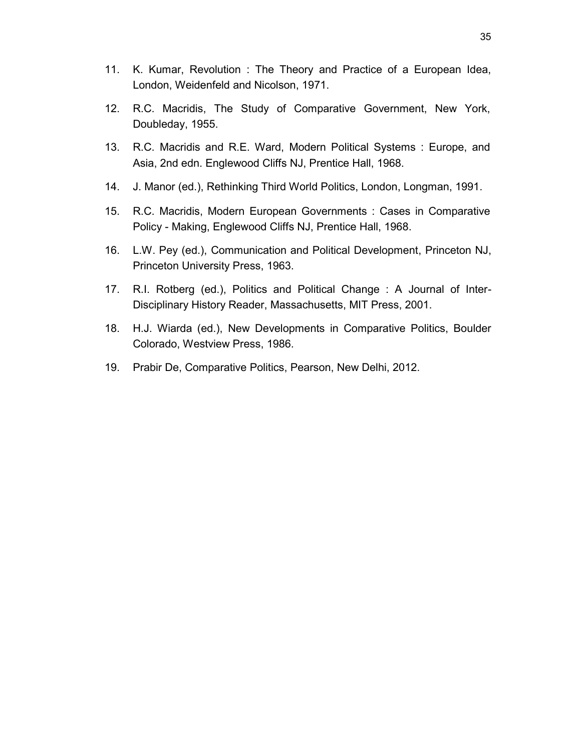- 11. K. Kumar, Revolution : The Theory and Practice of a European Idea, London, Weidenfeld and Nicolson, 1971.
- 12. R.C. Macridis, The Study of Comparative Government, New York, Doubleday, 1955.
- 13. R.C. Macridis and R.E. Ward, Modern Political Systems : Europe, and Asia, 2nd edn. Englewood Cliffs NJ, Prentice Hall, 1968.
- 14. J. Manor (ed.), Rethinking Third World Politics, London, Longman, 1991.
- 15. R.C. Macridis, Modern European Governments : Cases in Comparative Policy - Making, Englewood Cliffs NJ, Prentice Hall, 1968.
- 16. L.W. Pey (ed.), Communication and Political Development, Princeton NJ, Princeton University Press, 1963.
- 17. R.I. Rotberg (ed.), Politics and Political Change : A Journal of Inter-Disciplinary History Reader, Massachusetts, MIT Press, 2001.
- 18. H.J. Wiarda (ed.), New Developments in Comparative Politics, Boulder Colorado, Westview Press, 1986.
- 19. Prabir De, Comparative Politics, Pearson, New Delhi, 2012.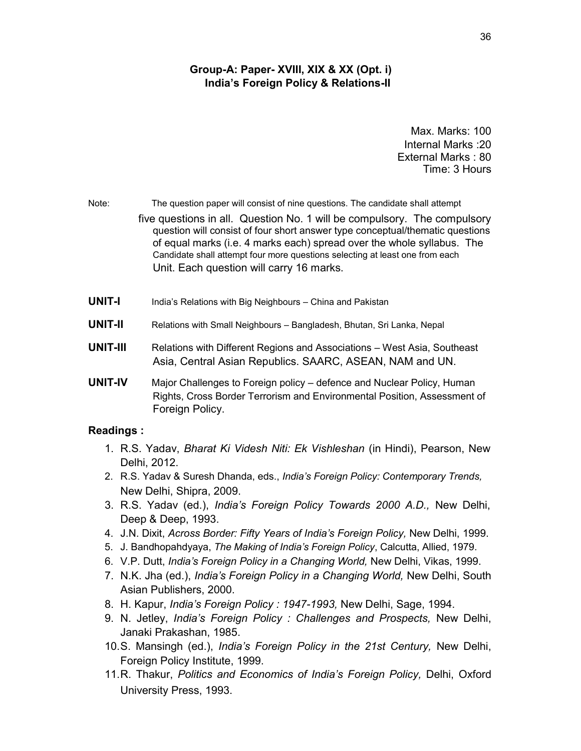# **Group-A: Paper- XVIII, XIX & XX (Opt. i) India's Foreign Policy & Relations-II**

Max. Marks: 100 Internal Marks :20 External Marks : 80 Time: 3 Hours

Note: The question paper will consist of nine questions. The candidate shall attempt

five questions in all. Question No. 1 will be compulsory. The compulsory question will consist of four short answer type conceptual/thematic questions of equal marks (i.e. 4 marks each) spread over the whole syllabus. The Candidate shall attempt four more questions selecting at least one from each Unit. Each question will carry 16 marks.

- **UNIT-I** India's Relations with Big Neighbours China and Pakistan
- **UNIT-II** Relations with Small Neighbours Bangladesh, Bhutan, Sri Lanka, Nepal
- **UNIT-III** Relations with Different Regions and Associations West Asia, Southeast Asia, Central Asian Republics. SAARC, ASEAN, NAM and UN.
- **UNIT-IV** Major Challenges to Foreign policy defence and Nuclear Policy, Human Rights, Cross Border Terrorism and Environmental Position, Assessment of Foreign Policy.

- 1. R.S. Yadav, *Bharat Ki Videsh Niti: Ek Vishleshan* (in Hindi), Pearson, New Delhi, 2012.
- 2. R.S. Yadav & Suresh Dhanda, eds., *India's Foreign Policy: Contemporary Trends,* New Delhi, Shipra, 2009.
- 3. R.S. Yadav (ed.), *India's Foreign Policy Towards 2000 A.D.,* New Delhi, Deep & Deep, 1993.
- 4. J.N. Dixit, *Across Border: Fifty Years of India's Foreign Policy,* New Delhi, 1999.
- 5. J. Bandhopahdyaya, *The Making of India's Foreign Policy*, Calcutta, Allied, 1979.
- 6. V.P. Dutt, *India's Foreign Policy in a Changing World,* New Delhi, Vikas, 1999.
- 7. N.K. Jha (ed.), *India's Foreign Policy in a Changing World,* New Delhi, South Asian Publishers, 2000.
- 8. H. Kapur, *India's Foreign Policy : 1947-1993,* New Delhi, Sage, 1994.
- 9. N. Jetley, *India's Foreign Policy : Challenges and Prospects,* New Delhi, Janaki Prakashan, 1985.
- 10. S. Mansingh (ed.), *India's Foreign Policy in the 21st Century,* New Delhi, Foreign Policy Institute, 1999.
- 11. R. Thakur, *Politics and Economics of India's Foreign Policy,* Delhi, Oxford University Press, 1993.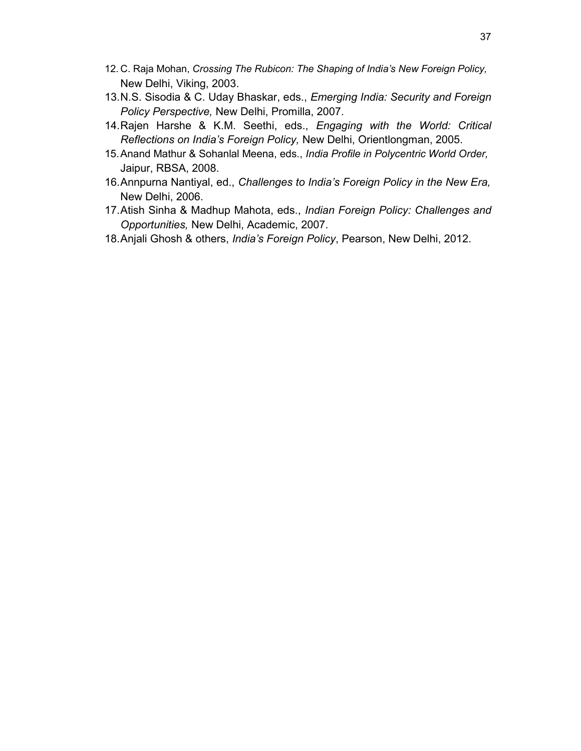- 12. C. Raja Mohan, *Crossing The Rubicon: The Shaping of India's New Foreign Policy,* New Delhi, Viking, 2003.
- 13. N.S. Sisodia & C. Uday Bhaskar, eds., *Emerging India: Security and Foreign Policy Perspective,* New Delhi, Promilla, 2007.
- 14. Rajen Harshe & K.M. Seethi, eds., *Engaging with the World: Critical Reflections on India's Foreign Policy,* New Delhi, Orientlongman, 2005.
- 15. Anand Mathur & Sohanlal Meena, eds., *India Profile in Polycentric World Order,* Jaipur, RBSA, 2008.
- 16. Annpurna Nantiyal, ed., *Challenges to India's Foreign Policy in the New Era,* New Delhi, 2006.
- 17. Atish Sinha & Madhup Mahota, eds., *Indian Foreign Policy: Challenges and Opportunities,* New Delhi, Academic, 2007.
- 18. Anjali Ghosh & others, *India's Foreign Policy*, Pearson, New Delhi, 2012.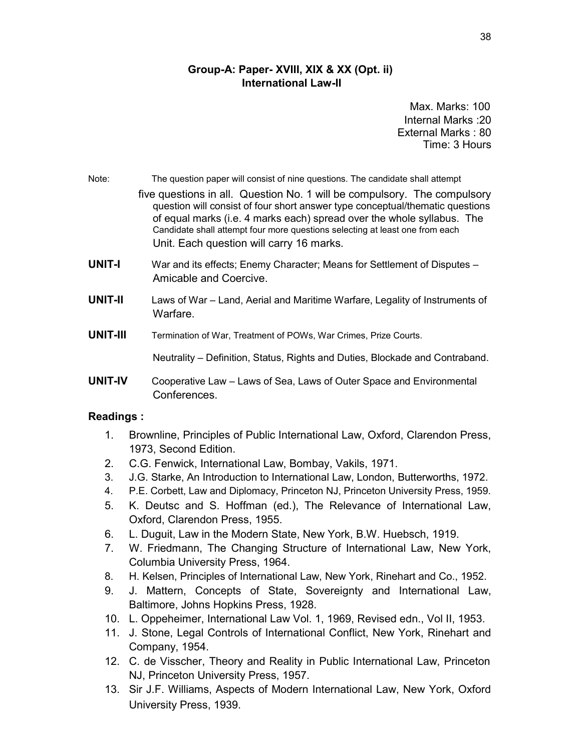# **Group-A: Paper- XVIII, XIX & XX (Opt. ii) International Law-II**

Max. Marks: 100 Internal Marks :20 External Marks : 80 Time: 3 Hours

Note: The question paper will consist of nine questions. The candidate shall attempt

- five questions in all. Question No. 1 will be compulsory. The compulsory question will consist of four short answer type conceptual/thematic questions of equal marks (i.e. 4 marks each) spread over the whole syllabus. The Candidate shall attempt four more questions selecting at least one from each Unit. Each question will carry 16 marks.
- **UNIT-I** War and its effects; Enemy Character; Means for Settlement of Disputes Amicable and Coercive.
- **UNIT-II** Laws of War Land, Aerial and Maritime Warfare, Legality of Instruments of Warfare.
- **UNIT-III** Termination of War, Treatment of POWs, War Crimes, Prize Courts.

Neutrality – Definition, Status, Rights and Duties, Blockade and Contraband.

**UNIT-IV** Cooperative Law – Laws of Sea, Laws of Outer Space and Environmental Conferences.

- 1. Brownline, Principles of Public International Law, Oxford, Clarendon Press, 1973, Second Edition.
- 2. C.G. Fenwick, International Law, Bombay, Vakils, 1971.
- 3. J.G. Starke, An Introduction to International Law, London, Butterworths, 1972.
- 4. P.E. Corbett, Law and Diplomacy, Princeton NJ, Princeton University Press, 1959.
- 5. K. Deutsc and S. Hoffman (ed.), The Relevance of International Law, Oxford, Clarendon Press, 1955.
- 6. L. Duguit, Law in the Modern State, New York, B.W. Huebsch, 1919.
- 7. W. Friedmann, The Changing Structure of International Law, New York, Columbia University Press, 1964.
- 8. H. Kelsen, Principles of International Law, New York, Rinehart and Co., 1952.
- 9. J. Mattern, Concepts of State, Sovereignty and International Law, Baltimore, Johns Hopkins Press, 1928.
- 10. L. Oppeheimer, International Law Vol. 1, 1969, Revised edn., Vol II, 1953.
- 11. J. Stone, Legal Controls of International Conflict, New York, Rinehart and Company, 1954.
- 12. C. de Visscher, Theory and Reality in Public International Law, Princeton NJ, Princeton University Press, 1957.
- 13. Sir J.F. Williams, Aspects of Modern International Law, New York, Oxford University Press, 1939.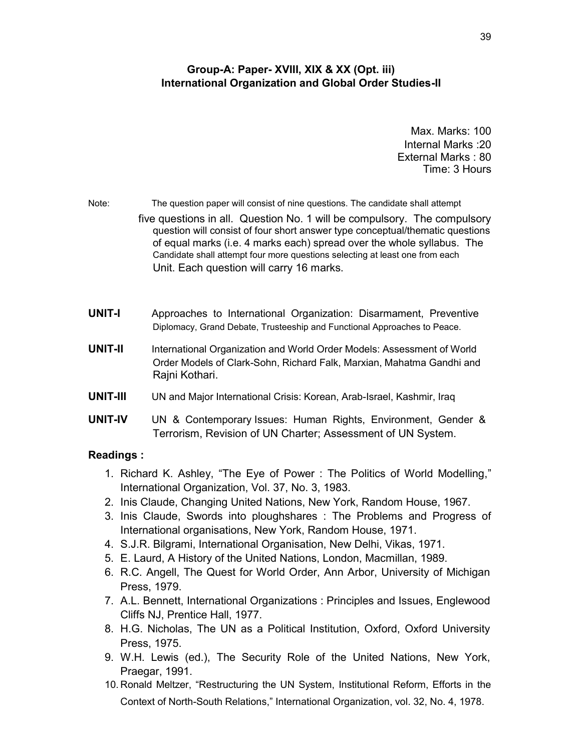## **Group-A: Paper- XVIII, XIX & XX (Opt. iii) International Organization and Global Order Studies-II**

Max. Marks: 100 Internal Marks :20 External Marks : 80 Time: 3 Hours

Note: The question paper will consist of nine questions. The candidate shall attempt five questions in all. Question No. 1 will be compulsory. The compulsory question will consist of four short answer type conceptual/thematic questions of equal marks (i.e. 4 marks each) spread over the whole syllabus. The Candidate shall attempt four more questions selecting at least one from each Unit. Each question will carry 16 marks.

- **UNIT-I** Approaches to International Organization: Disarmament, Preventive Diplomacy, Grand Debate, Trusteeship and Functional Approaches to Peace.
- **UNIT-II** International Organization and World Order Models: Assessment of World Order Models of Clark-Sohn, Richard Falk, Marxian, Mahatma Gandhi and Rajni Kothari.
- **UNIT-III** UN and Major International Crisis: Korean, Arab-Israel, Kashmir, Iraq
- **UNIT-IV** UN & Contemporary Issues: Human Rights, Environment, Gender & Terrorism, Revision of UN Charter; Assessment of UN System.

- 1. Richard K. Ashley, "The Eye of Power : The Politics of World Modelling," International Organization, Vol. 37, No. 3, 1983.
- 2. Inis Claude, Changing United Nations, New York, Random House, 1967.
- 3. Inis Claude, Swords into ploughshares : The Problems and Progress of International organisations, New York, Random House, 1971.
- 4. S.J.R. Bilgrami, International Organisation, New Delhi, Vikas, 1971.
- 5. E. Laurd, A History of the United Nations, London, Macmillan, 1989.
- 6. R.C. Angell, The Quest for World Order, Ann Arbor, University of Michigan Press, 1979.
- 7. A.L. Bennett, International Organizations : Principles and Issues, Englewood Cliffs NJ, Prentice Hall, 1977.
- 8. H.G. Nicholas, The UN as a Political Institution, Oxford, Oxford University Press, 1975.
- 9. W.H. Lewis (ed.), The Security Role of the United Nations, New York, Praegar, 1991.
- 10. Ronald Meltzer, "Restructuring the UN System, Institutional Reform, Efforts in the Context of North-South Relations," International Organization, vol. 32, No. 4, 1978.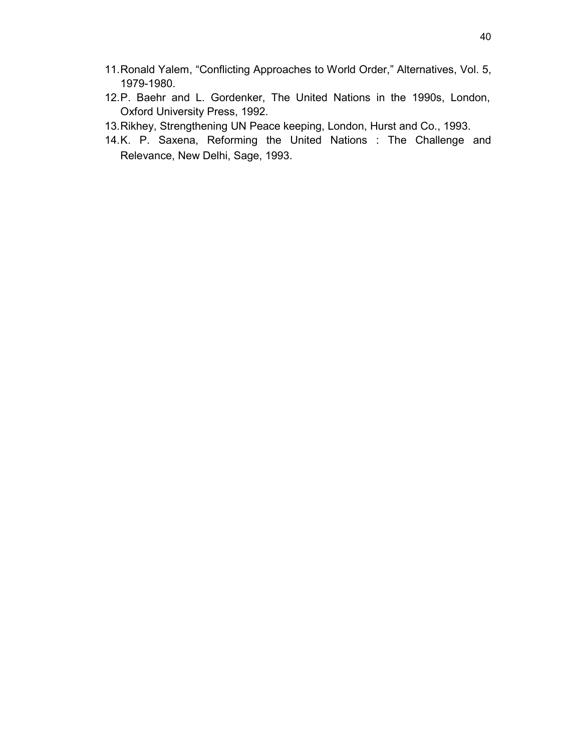- 11. Ronald Yalem, "Conflicting Approaches to World Order," Alternatives, Vol. 5, 1979-1980.
- 12. P. Baehr and L. Gordenker, The United Nations in the 1990s, London, Oxford University Press, 1992.
- 13. Rikhey, Strengthening UN Peace keeping, London, Hurst and Co., 1993.
- 14.K. P. Saxena, Reforming the United Nations : The Challenge and Relevance, New Delhi, Sage, 1993.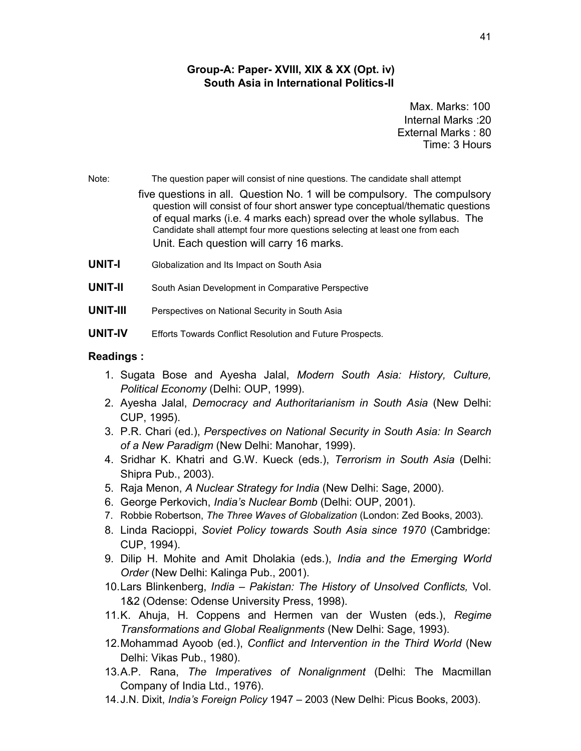## **Group-A: Paper- XVIII, XIX & XX (Opt. iv) South Asia in International Politics-II**

Max. Marks: 100 Internal Marks :20 External Marks : 80 Time: 3 Hours

Note: The question paper will consist of nine questions. The candidate shall attempt

five questions in all. Question No. 1 will be compulsory. The compulsory question will consist of four short answer type conceptual/thematic questions of equal marks (i.e. 4 marks each) spread over the whole syllabus. The Candidate shall attempt four more questions selecting at least one from each Unit. Each question will carry 16 marks.

- **UNIT-I** Globalization and Its Impact on South Asia
- **UNIT-II** South Asian Development in Comparative Perspective
- **UNIT-III** Perspectives on National Security in South Asia
- **UNIT-IV** Efforts Towards Conflict Resolution and Future Prospects.

- 1. Sugata Bose and Ayesha Jalal, *Modern South Asia: History, Culture, Political Economy* (Delhi: OUP, 1999).
- 2. Ayesha Jalal, *Democracy and Authoritarianism in South Asia* (New Delhi: CUP, 1995).
- 3. P.R. Chari (ed.), *Perspectives on National Security in South Asia: In Search of a New Paradigm* (New Delhi: Manohar, 1999).
- 4. Sridhar K. Khatri and G.W. Kueck (eds.), *Terrorism in South Asia* (Delhi: Shipra Pub., 2003).
- 5. Raja Menon, *A Nuclear Strategy for India* (New Delhi: Sage, 2000).
- 6. George Perkovich, *India's Nuclear Bomb* (Delhi: OUP, 2001).
- 7. Robbie Robertson, *The Three Waves of Globalization* (London: Zed Books, 2003).
- 8. Linda Racioppi, *Soviet Policy towards South Asia since 1970* (Cambridge: CUP, 1994).
- 9. Dilip H. Mohite and Amit Dholakia (eds.), *India and the Emerging World Order* (New Delhi: Kalinga Pub., 2001).
- 10. Lars Blinkenberg, *India – Pakistan: The History of Unsolved Conflicts,* Vol. 1&2 (Odense: Odense University Press, 1998).
- 11. K. Ahuja, H. Coppens and Hermen van der Wusten (eds.), *Regime Transformations and Global Realignments* (New Delhi: Sage, 1993).
- 12. Mohammad Ayoob (ed.), *Conflict and Intervention in the Third World* (New Delhi: Vikas Pub., 1980).
- 13. A.P. Rana, *The Imperatives of Nonalignment* (Delhi: The Macmillan Company of India Ltd., 1976).
- 14. J.N. Dixit, *India's Foreign Policy* 1947 2003 (New Delhi: Picus Books, 2003).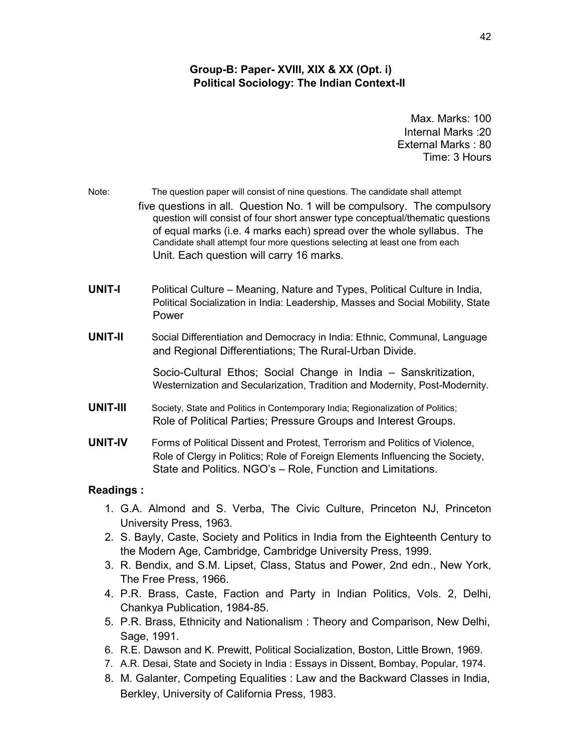# **Group-B: Paper- XVIII, XIX & XX (Opt. i) Political Sociology: The Indian Context-II**

Max. Marks: 100 Internal Marks :20 External Marks : 80 Time: 3 Hours

| Note: | The question paper will consist of nine questions. The candidate shall attempt                                                                                                                                                                                                                                                                                  |
|-------|-----------------------------------------------------------------------------------------------------------------------------------------------------------------------------------------------------------------------------------------------------------------------------------------------------------------------------------------------------------------|
|       | five questions in all. Question No. 1 will be compulsory. The compulsory<br>question will consist of four short answer type conceptual/thematic questions<br>of equal marks (i.e. 4 marks each) spread over the whole syllabus. The<br>Candidate shall attempt four more questions selecting at least one from each<br>Unit. Each question will carry 16 marks. |
|       |                                                                                                                                                                                                                                                                                                                                                                 |

- **UNIT-I** Political Culture Meaning, Nature and Types, Political Culture in India, Political Socialization in India: Leadership, Masses and Social Mobility, State Power
- **UNIT-II** Social Differentiation and Democracy in India: Ethnic, Communal, Language and Regional Differentiations; The Rural-Urban Divide.

Socio-Cultural Ethos; Social Change in India – Sanskritization, Westernization and Secularization, Tradition and Modernity, Post-Modernity.

- **UNIT-III** Society, State and Politics in Contemporary India; Regionalization of Politics; Role of Political Parties; Pressure Groups and Interest Groups.
- **UNIT-IV** Forms of Political Dissent and Protest, Terrorism and Politics of Violence, Role of Clergy in Politics; Role of Foreign Elements Influencing the Society, State and Politics. NGO's – Role, Function and Limitations.

- 1. G.A. Almond and S. Verba, The Civic Culture, Princeton NJ, Princeton University Press, 1963.
- 2. S. Bayly, Caste, Society and Politics in India from the Eighteenth Century to the Modern Age, Cambridge, Cambridge University Press, 1999.
- 3. R. Bendix, and S.M. Lipset, Class, Status and Power, 2nd edn., New York, The Free Press, 1966.
- 4. P.R. Brass, Caste, Faction and Party in Indian Politics, Vols. 2, Delhi, Chankya Publication, 1984-85.
- 5. P.R. Brass, Ethnicity and Nationalism : Theory and Comparison, New Delhi, Sage, 1991.
- 6. R.E. Dawson and K. Prewitt, Political Socialization, Boston, Little Brown, 1969.
- 7. A.R. Desai, State and Society in India : Essays in Dissent, Bombay, Popular, 1974.
- 8. M. Galanter, Competing Equalities : Law and the Backward Classes in India, Berkley, University of California Press, 1983.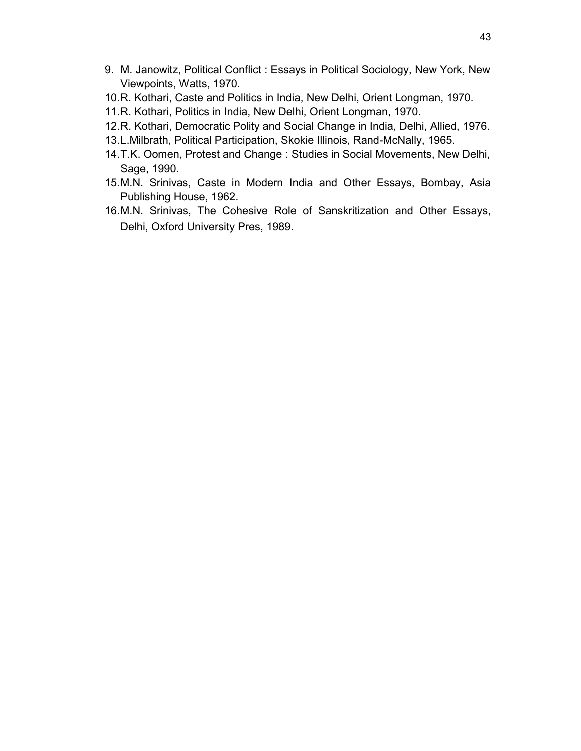- 9. M. Janowitz, Political Conflict : Essays in Political Sociology, New York, New Viewpoints, Watts, 1970.
- 10. R. Kothari, Caste and Politics in India, New Delhi, Orient Longman, 1970.
- 11. R. Kothari, Politics in India, New Delhi, Orient Longman, 1970.
- 12. R. Kothari, Democratic Polity and Social Change in India, Delhi, Allied, 1976.
- 13. L.Milbrath, Political Participation, Skokie Illinois, Rand-McNally, 1965.
- 14. T.K. Oomen, Protest and Change : Studies in Social Movements, New Delhi, Sage, 1990.
- 15. M.N. Srinivas, Caste in Modern India and Other Essays, Bombay, Asia Publishing House, 1962.
- 16. M.N. Srinivas, The Cohesive Role of Sanskritization and Other Essays, Delhi, Oxford University Pres, 1989.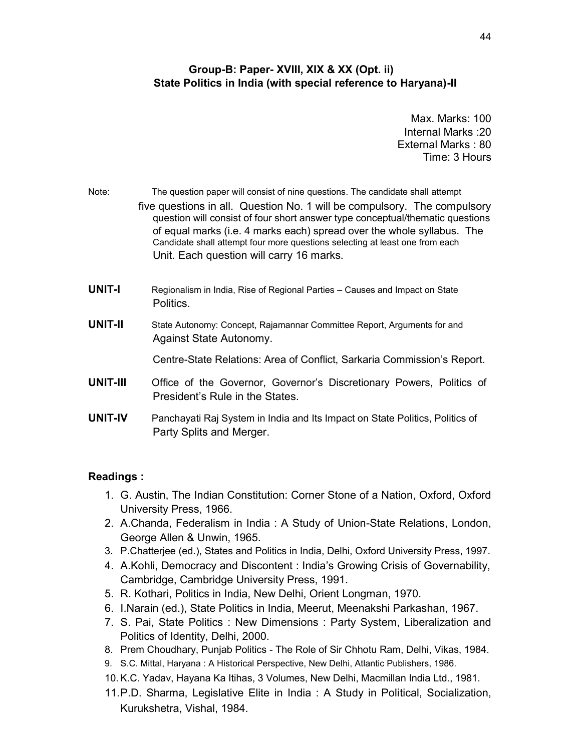## **Group-B: Paper- XVIII, XIX & XX (Opt. ii) State Politics in India (with special reference to Haryana)-II**

Max. Marks: 100 Internal Marks :20 External Marks : 80 Time: 3 Hours

| Note: | The question paper will consist of nine questions. The candidate shall attempt                                                                                                                     |
|-------|----------------------------------------------------------------------------------------------------------------------------------------------------------------------------------------------------|
|       | five questions in all. Question No. 1 will be compulsory. The compulsory<br>question will consist of four short answer type conceptual/thematic questions                                          |
|       | of equal marks (i.e. 4 marks each) spread over the whole syllabus. The<br>Candidate shall attempt four more questions selecting at least one from each<br>Unit. Each question will carry 16 marks. |
|       |                                                                                                                                                                                                    |

- **UNIT-I** Regionalism in India, Rise of Regional Parties Causes and Impact on State Politics.
- **UNIT-II** State Autonomy: Concept, Rajamannar Committee Report, Arguments for and Against State Autonomy.

Centre-State Relations: Area of Conflict, Sarkaria Commission's Report.

- **UNIT-III** Office of the Governor, Governor's Discretionary Powers, Politics of President's Rule in the States.
- **UNIT-IV** Panchayati Raj System in India and Its Impact on State Politics, Politics of Party Splits and Merger.

- 1. G. Austin, The Indian Constitution: Corner Stone of a Nation, Oxford, Oxford University Press, 1966.
- 2. A.Chanda, Federalism in India : A Study of Union-State Relations, London, George Allen & Unwin, 1965.
- 3. P.Chatterjee (ed.), States and Politics in India, Delhi, Oxford University Press, 1997.
- 4. A.Kohli, Democracy and Discontent : India's Growing Crisis of Governability, Cambridge, Cambridge University Press, 1991.
- 5. R. Kothari, Politics in India, New Delhi, Orient Longman, 1970.
- 6. I.Narain (ed.), State Politics in India, Meerut, Meenakshi Parkashan, 1967.
- 7. S. Pai, State Politics : New Dimensions : Party System, Liberalization and Politics of Identity, Delhi, 2000.
- 8. Prem Choudhary, Punjab Politics The Role of Sir Chhotu Ram, Delhi, Vikas, 1984.
- 9. S.C. Mittal, Haryana : A Historical Perspective, New Delhi, Atlantic Publishers, 1986.
- 10. K.C. Yadav, Hayana Ka Itihas, 3 Volumes, New Delhi, Macmillan India Ltd., 1981.
- 11. P.D. Sharma, Legislative Elite in India : A Study in Political, Socialization, Kurukshetra, Vishal, 1984.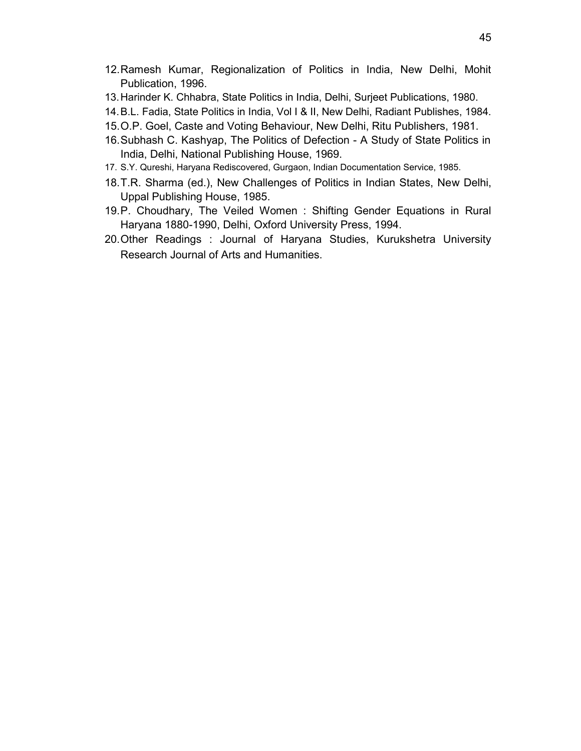- 12. Ramesh Kumar, Regionalization of Politics in India, New Delhi, Mohit Publication, 1996.
- 13. Harinder K. Chhabra, State Politics in India, Delhi, Surjeet Publications, 1980.
- 14. B.L. Fadia, State Politics in India, Vol I & II, New Delhi, Radiant Publishes, 1984.
- 15. O.P. Goel, Caste and Voting Behaviour, New Delhi, Ritu Publishers, 1981.
- 16. Subhash C. Kashyap, The Politics of Defection A Study of State Politics in India, Delhi, National Publishing House, 1969.
- 17. S.Y. Qureshi, Haryana Rediscovered, Gurgaon, Indian Documentation Service, 1985.
- 18. T.R. Sharma (ed.), New Challenges of Politics in Indian States, New Delhi, Uppal Publishing House, 1985.
- 19. P. Choudhary, The Veiled Women: Shifting Gender Equations in Rural Haryana 1880-1990, Delhi, Oxford University Press, 1994.
- 20. Other Readings : Journal of Haryana Studies, Kurukshetra University Research Journal of Arts and Humanities.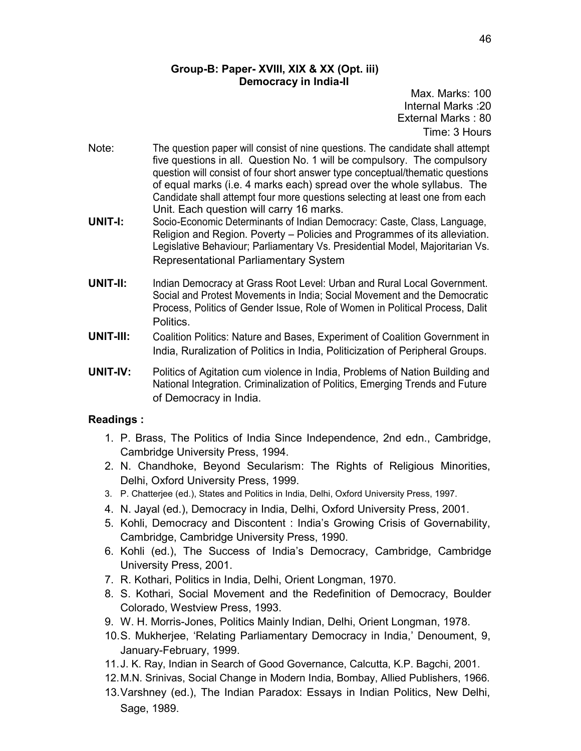#### **Group-B: Paper- XVIII, XIX & XX (Opt. iii) Democracy in India-II**

Max. Marks: 100 Internal Marks :20 External Marks : 80 Time: 3 Hours

- Note: The question paper will consist of nine questions. The candidate shall attempt five questions in all. Question No. 1 will be compulsory. The compulsory question will consist of four short answer type conceptual/thematic questions of equal marks (i.e. 4 marks each) spread over the whole syllabus. The Candidate shall attempt four more questions selecting at least one from each Unit. Each question will carry 16 marks.
- **UNIT-I:** Socio-Economic Determinants of Indian Democracy: Caste, Class, Language, Religion and Region. Poverty – Policies and Programmes of its alleviation. Legislative Behaviour; Parliamentary Vs. Presidential Model, Majoritarian Vs. Representational Parliamentary System
- **UNIT-II:** Indian Democracy at Grass Root Level: Urban and Rural Local Government. Social and Protest Movements in India; Social Movement and the Democratic Process, Politics of Gender Issue, Role of Women in Political Process, Dalit Politics.
- **UNIT-III:** Coalition Politics: Nature and Bases, Experiment of Coalition Government in India, Ruralization of Politics in India, Politicization of Peripheral Groups.
- **UNIT-IV:** Politics of Agitation cum violence in India, Problems of Nation Building and National Integration. Criminalization of Politics, Emerging Trends and Future of Democracy in India.

- 1. P. Brass, The Politics of India Since Independence, 2nd edn., Cambridge, Cambridge University Press, 1994.
- 2. N. Chandhoke, Beyond Secularism: The Rights of Religious Minorities, Delhi, Oxford University Press, 1999.
- 3. P. Chatterjee (ed.), States and Politics in India, Delhi, Oxford University Press, 1997.
- 4. N. Jayal (ed.), Democracy in India, Delhi, Oxford University Press, 2001.
- 5. Kohli, Democracy and Discontent : India's Growing Crisis of Governability, Cambridge, Cambridge University Press, 1990.
- 6. Kohli (ed.), The Success of India's Democracy, Cambridge, Cambridge University Press, 2001.
- 7. R. Kothari, Politics in India, Delhi, Orient Longman, 1970.
- 8. S. Kothari, Social Movement and the Redefinition of Democracy, Boulder Colorado, Westview Press, 1993.
- 9. W. H. Morris-Jones, Politics Mainly Indian, Delhi, Orient Longman, 1978.
- 10. S. Mukherjee, 'Relating Parliamentary Democracy in India,' Denoument, 9, January-February, 1999.
- 11. J. K. Ray, Indian in Search of Good Governance, Calcutta, K.P. Bagchi, 2001.
- 12. M.N. Srinivas, Social Change in Modern India, Bombay, Allied Publishers, 1966.
- 13. Varshney (ed.), The Indian Paradox: Essays in Indian Politics, New Delhi, Sage, 1989.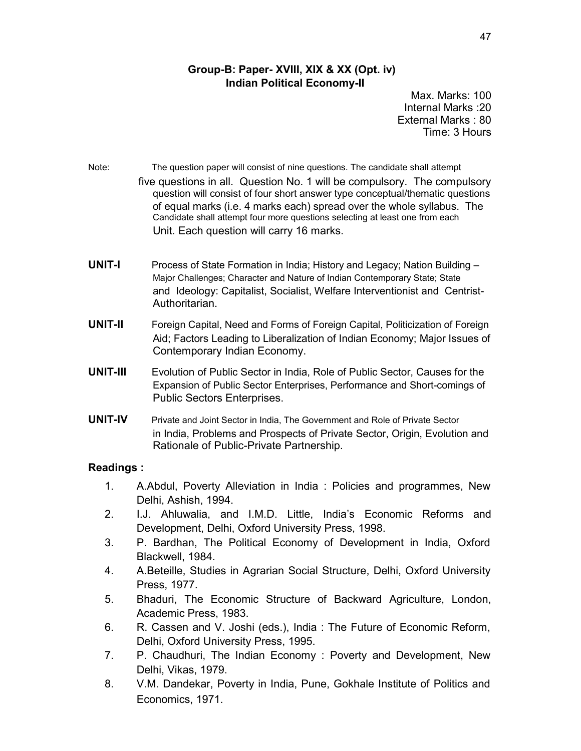# **Group-B: Paper- XVIII, XIX & XX (Opt. iv) Indian Political Economy-II**

Max. Marks: 100 Internal Marks :20 External Marks : 80 Time: 3 Hours

Note: The question paper will consist of nine questions. The candidate shall attempt

- five questions in all. Question No. 1 will be compulsory. The compulsory question will consist of four short answer type conceptual/thematic questions of equal marks (i.e. 4 marks each) spread over the whole syllabus. The Candidate shall attempt four more questions selecting at least one from each Unit. Each question will carry 16 marks.
- **UNIT-I** Process of State Formation in India; History and Legacy; Nation Building Major Challenges; Character and Nature of Indian Contemporary State; State and Ideology: Capitalist, Socialist, Welfare Interventionist and Centrist-Authoritarian.
- **UNIT-II** Foreign Capital, Need and Forms of Foreign Capital, Politicization of Foreign Aid; Factors Leading to Liberalization of Indian Economy; Major Issues of Contemporary Indian Economy.
- **UNIT-III** Evolution of Public Sector in India, Role of Public Sector, Causes for the Expansion of Public Sector Enterprises, Performance and Short-comings of Public Sectors Enterprises.
- **UNIT-IV** Private and Joint Sector in India, The Government and Role of Private Sector in India, Problems and Prospects of Private Sector, Origin, Evolution and Rationale of Public-Private Partnership.

- 1. A.Abdul, Poverty Alleviation in India : Policies and programmes, New Delhi, Ashish, 1994.
- 2. I.J. Ahluwalia, and I.M.D. Little, India's Economic Reforms and Development, Delhi, Oxford University Press, 1998.
- 3. P. Bardhan, The Political Economy of Development in India, Oxford Blackwell, 1984.
- 4. A.Beteille, Studies in Agrarian Social Structure, Delhi, Oxford University Press, 1977.
- 5. Bhaduri, The Economic Structure of Backward Agriculture, London, Academic Press, 1983.
- 6. R. Cassen and V. Joshi (eds.), India : The Future of Economic Reform, Delhi, Oxford University Press, 1995.
- 7. P. Chaudhuri, The Indian Economy : Poverty and Development, New Delhi, Vikas, 1979.
- 8. V.M. Dandekar, Poverty in India, Pune, Gokhale Institute of Politics and Economics, 1971.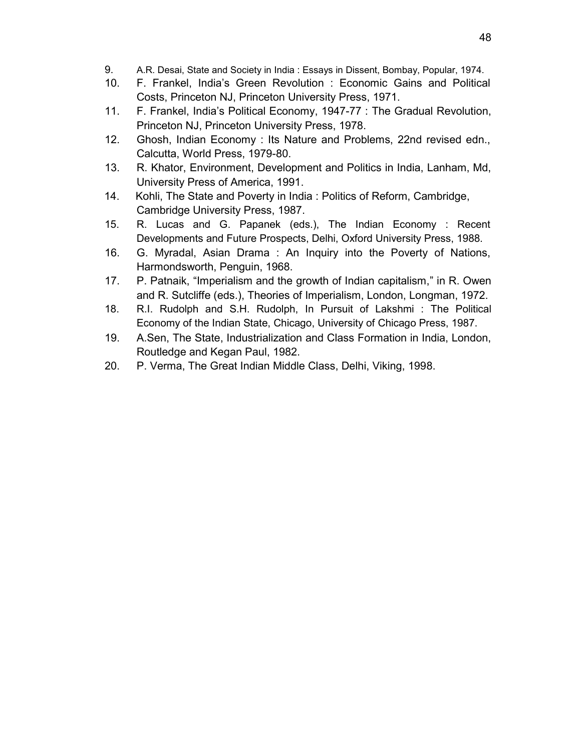- 9. A.R. Desai, State and Society in India : Essays in Dissent, Bombay, Popular, 1974.
- 10. F. Frankel, India's Green Revolution : Economic Gains and Political Costs, Princeton NJ, Princeton University Press, 1971.
- 11. F. Frankel, India's Political Economy, 1947-77 : The Gradual Revolution, Princeton NJ, Princeton University Press, 1978.
- 12. Ghosh, Indian Economy : Its Nature and Problems, 22nd revised edn., Calcutta, World Press, 1979-80.
- 13. R. Khator, Environment, Development and Politics in India, Lanham, Md, University Press of America, 1991.
- 14. Kohli, The State and Poverty in India : Politics of Reform, Cambridge, Cambridge University Press, 1987.
- 15. R. Lucas and G. Papanek (eds.), The Indian Economy : Recent Developments and Future Prospects, Delhi, Oxford University Press, 1988.
- 16. G. Myradal, Asian Drama : An Inquiry into the Poverty of Nations, Harmondsworth, Penguin, 1968.
- 17. P. Patnaik, "Imperialism and the growth of Indian capitalism," in R. Owen and R. Sutcliffe (eds.), Theories of Imperialism, London, Longman, 1972.
- 18. R.I. Rudolph and S.H. Rudolph, In Pursuit of Lakshmi : The Political Economy of the Indian State, Chicago, University of Chicago Press, 1987.
- 19. A.Sen, The State, Industrialization and Class Formation in India, London, Routledge and Kegan Paul, 1982.
- 20. P. Verma, The Great Indian Middle Class, Delhi, Viking, 1998.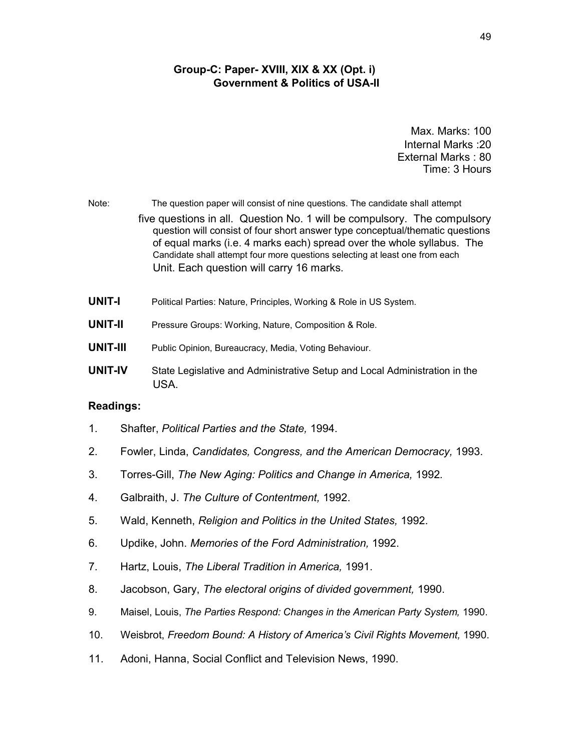# **Group-C: Paper- XVIII, XIX & XX (Opt. i) Government & Politics of USA-II**

Max. Marks: 100 Internal Marks :20 External Marks : 80 Time: 3 Hours

| Note: | The question paper will consist of nine questions. The candidate shall attempt                                                                                                                                                                                                                                                                                  |
|-------|-----------------------------------------------------------------------------------------------------------------------------------------------------------------------------------------------------------------------------------------------------------------------------------------------------------------------------------------------------------------|
|       | five questions in all. Question No. 1 will be compulsory. The compulsory<br>question will consist of four short answer type conceptual/thematic questions<br>of equal marks (i.e. 4 marks each) spread over the whole syllabus. The<br>Candidate shall attempt four more questions selecting at least one from each<br>Unit. Each question will carry 16 marks. |

- **UNIT-I** Political Parties: Nature, Principles, Working & Role in US System.
- **UNIT-II** Pressure Groups: Working, Nature, Composition & Role.
- **UNIT-III** Public Opinion, Bureaucracy, Media, Voting Behaviour.
- **UNIT-IV** State Legislative and Administrative Setup and Local Administration in the USA.

- 1. Shafter, *Political Parties and the State,* 1994.
- 2. Fowler, Linda, *Candidates, Congress, and the American Democracy,* 1993.
- 3. Torres-Gill, *The New Aging: Politics and Change in America,* 1992*.*
- 4. Galbraith, J. *The Culture of Contentment,* 1992.
- 5. Wald, Kenneth, *Religion and Politics in the United States,* 1992.
- 6. Updike, John. *Memories of the Ford Administration,* 1992.
- 7. Hartz, Louis, *The Liberal Tradition in America,* 1991.
- 8. Jacobson, Gary, *The electoral origins of divided government,* 1990.
- 9. Maisel, Louis, *The Parties Respond: Changes in the American Party System,* 1990.
- 10. Weisbrot, *Freedom Bound: A History of America's Civil Rights Movement,* 1990.
- 11. Adoni, Hanna, Social Conflict and Television News, 1990.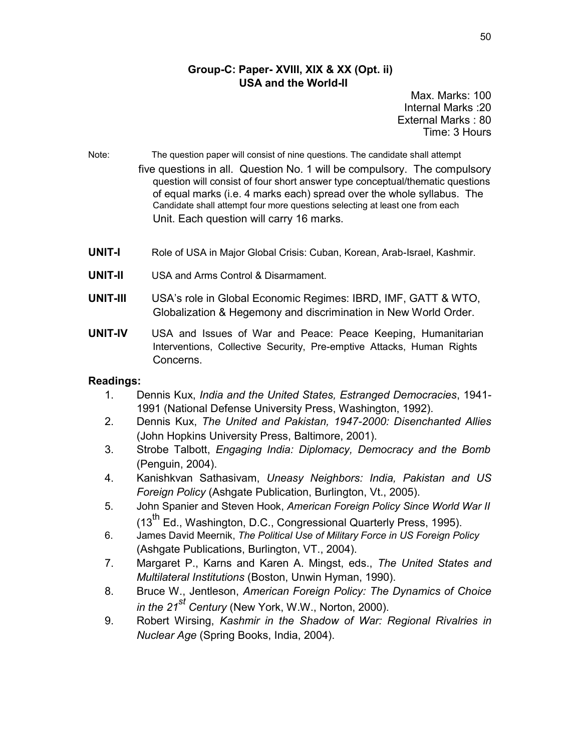# **Group-C: Paper- XVIII, XIX & XX (Opt. ii) USA and the World-II**

Max. Marks: 100 Internal Marks :20 External Marks : 80 Time: 3 Hours

Note: The question paper will consist of nine questions. The candidate shall attempt

- five questions in all. Question No. 1 will be compulsory. The compulsory question will consist of four short answer type conceptual/thematic questions of equal marks (i.e. 4 marks each) spread over the whole syllabus. The Candidate shall attempt four more questions selecting at least one from each Unit. Each question will carry 16 marks.
- **UNIT-I** Role of USA in Major Global Crisis: Cuban, Korean, Arab-Israel, Kashmir.
- **UNIT-II** USA and Arms Control & Disarmament.
- **UNIT-III** USA's role in Global Economic Regimes: IBRD, IMF, GATT & WTO, Globalization & Hegemony and discrimination in New World Order.
- **UNIT-IV** USA and Issues of War and Peace: Peace Keeping, Humanitarian Interventions, Collective Security, Pre-emptive Attacks, Human Rights Concerns.

- 1. Dennis Kux, *India and the United States, Estranged Democracies*, 1941- 1991 (National Defense University Press, Washington, 1992).
- 2. Dennis Kux, *The United and Pakistan, 1947-2000: Disenchanted Allies* (John Hopkins University Press, Baltimore, 2001).
- 3. Strobe Talbott, *Engaging India: Diplomacy, Democracy and the Bomb* (Penguin, 2004).
- 4. Kanishkvan Sathasivam, *Uneasy Neighbors: India, Pakistan and US Foreign Policy* (Ashgate Publication, Burlington, Vt., 2005).
- 5. John Spanier and Steven Hook, *American Foreign Policy Since World War II* (13<sup>th</sup> Ed., Washington, D.C., Congressional Quarterly Press, 1995).
- 6. James David Meernik, *The Political Use of Military Force in US Foreign Policy* (Ashgate Publications, Burlington, VT., 2004).
- 7. Margaret P., Karns and Karen A. Mingst, eds., *The United States and Multilateral Institutions* (Boston, Unwin Hyman, 1990).
- 8. Bruce W., Jentleson, *American Foreign Policy: The Dynamics of Choice in the <sup>21</sup>st Century* (New York, W.W., Norton, 2000).
- 9. Robert Wirsing, *Kashmir in the Shadow of War: Regional Rivalries in Nuclear Age* (Spring Books, India, 2004).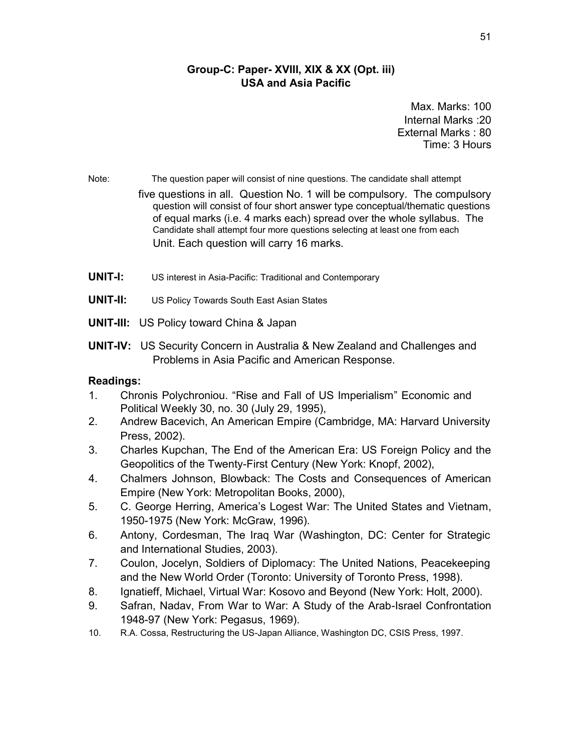# **Group-C: Paper- XVIII, XIX & XX (Opt. iii) USA and Asia Pacific**

Max. Marks: 100 Internal Marks :20 External Marks : 80 Time: 3 Hours

Note: The question paper will consist of nine questions. The candidate shall attempt

five questions in all. Question No. 1 will be compulsory. The compulsory question will consist of four short answer type conceptual/thematic questions of equal marks (i.e. 4 marks each) spread over the whole syllabus. The Candidate shall attempt four more questions selecting at least one from each Unit. Each question will carry 16 marks.

- **UNIT-I:** US interest in Asia-Pacific: Traditional and Contemporary
- **UNIT-II:** US Policy Towards South East Asian States
- **UNIT-III:** US Policy toward China & Japan
- **UNIT-IV:** US Security Concern in Australia & New Zealand and Challenges and Problems in Asia Pacific and American Response.

- 1. Chronis Polychroniou. "Rise and Fall of US Imperialism" Economic and Political Weekly 30, no. 30 (July 29, 1995),
- 2. Andrew Bacevich, An American Empire (Cambridge, MA: Harvard University Press, 2002).
- 3. Charles Kupchan, The End of the American Era: US Foreign Policy and the Geopolitics of the Twenty-First Century (New York: Knopf, 2002),
- 4. Chalmers Johnson, Blowback: The Costs and Consequences of American Empire (New York: Metropolitan Books, 2000),
- 5. C. George Herring, America's Logest War: The United States and Vietnam, 1950-1975 (New York: McGraw, 1996).
- 6. Antony, Cordesman, The Iraq War (Washington, DC: Center for Strategic and International Studies, 2003).
- 7. Coulon, Jocelyn, Soldiers of Diplomacy: The United Nations, Peacekeeping and the New World Order (Toronto: University of Toronto Press, 1998).
- 8. Ignatieff, Michael, Virtual War: Kosovo and Beyond (New York: Holt, 2000).
- 9. Safran, Nadav, From War to War: A Study of the Arab-Israel Confrontation 1948-97 (New York: Pegasus, 1969).
- 10. R.A. Cossa, Restructuring the US-Japan Alliance, Washington DC, CSIS Press, 1997.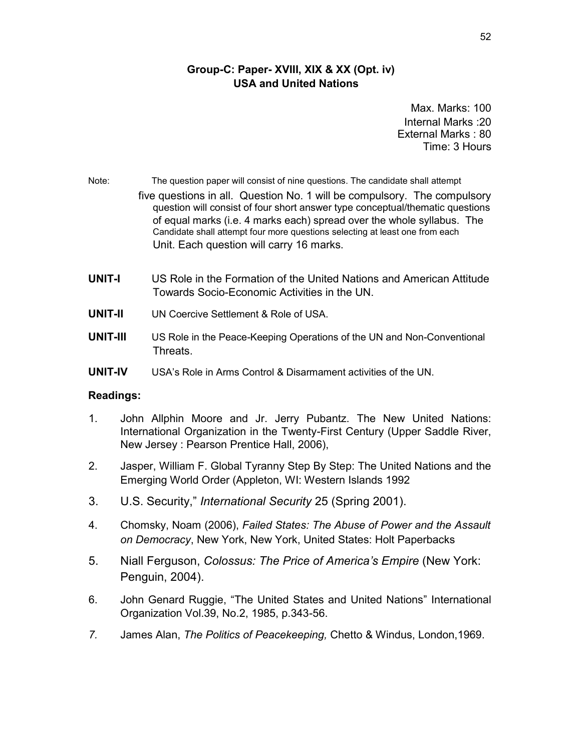# **Group-C: Paper- XVIII, XIX & XX (Opt. iv) USA and United Nations**

Max. Marks: 100 Internal Marks :20 External Marks : 80 Time: 3 Hours

Note: The question paper will consist of nine questions. The candidate shall attempt five questions in all. Question No. 1 will be compulsory. The compulsory question will consist of four short answer type conceptual/thematic questions of equal marks (i.e. 4 marks each) spread over the whole syllabus. The Candidate shall attempt four more questions selecting at least one from each Unit. Each question will carry 16 marks.

- **UNIT-I** US Role in the Formation of the United Nations and American Attitude Towards Socio-Economic Activities in the UN.
- **UNIT-II** UN Coercive Settlement & Role of USA.
- **UNIT-III** US Role in the Peace-Keeping Operations of the UN and Non-Conventional Threats.
- **UNIT-IV** USA's Role in Arms Control & Disarmament activities of the UN.

- 1. John Allphin Moore and Jr. Jerry Pubantz. The New United Nations: International Organization in the Twenty-First Century (Upper Saddle River, New Jersey : Pearson Prentice Hall, 2006),
- 2. Jasper, William F. Global Tyranny Step By Step: The United Nations and the Emerging World Order (Appleton, WI: Western Islands 1992
- 3. U.S. Security," *International Security* 25 (Spring 2001).
- 4. Chomsky, Noam (2006), *Failed States: The Abuse of Power and the Assault on Democracy*, New York, New York, United States: Holt Paperbacks
- 5. Niall Ferguson, *Colossus: The Price of America's Empire* (New York: Penguin, 2004).
- 6. John Genard Ruggie, "The United States and United Nations" International Organization Vol.39, No.2, 1985, p.343-56.
- *7.* James Alan, *The Politics of Peacekeeping,* Chetto & Windus, London,1969.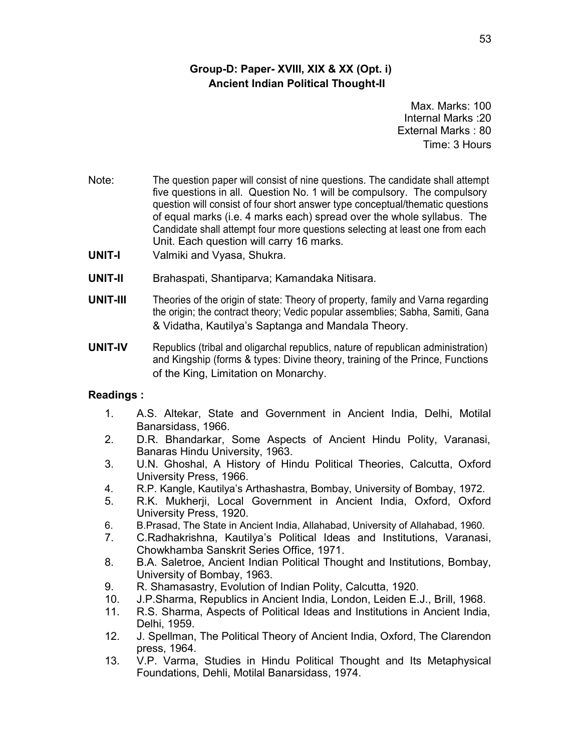# **Group-D: Paper- XVIII, XIX & XX (Opt. i) Ancient Indian Political Thought-II**

Max. Marks: 100 Internal Marks :20 External Marks : 80 Time: 3 Hours

- Note: The question paper will consist of nine questions. The candidate shall attempt five questions in all. Question No. 1 will be compulsory. The compulsory question will consist of four short answer type conceptual/thematic questions of equal marks (i.e. 4 marks each) spread over the whole syllabus. The Candidate shall attempt four more questions selecting at least one from each Unit. Each question will carry 16 marks.
- **UNIT-I** Valmiki and Vyasa, Shukra.
- **UNIT-II** Brahaspati, Shantiparva; Kamandaka Nitisara.
- **UNIT-III** Theories of the origin of state: Theory of property, family and Varna regarding the origin; the contract theory; Vedic popular assemblies; Sabha, Samiti, Gana & Vidatha, Kautilya's Saptanga and Mandala Theory.
- **UNIT-IV** Republics (tribal and oligarchal republics, nature of republican administration) and Kingship (forms & types: Divine theory, training of the Prince, Functions of the King, Limitation on Monarchy.

- 1. A.S. Altekar, State and Government in Ancient India, Delhi, Motilal Banarsidass, 1966.
- 2. D.R. Bhandarkar, Some Aspects of Ancient Hindu Polity, Varanasi, Banaras Hindu University, 1963.
- 3. U.N. Ghoshal, A History of Hindu Political Theories, Calcutta, Oxford University Press, 1966.
- 4. R.P. Kangle, Kautilya's Arthashastra, Bombay, University of Bombay, 1972.<br>5. R.K. Mukherii. Local Government in Ancient India. Oxford. Oxforo
- 5. R.K. Mukherji, Local Government in Ancient India, Oxford, Oxford University Press, 1920.
- 6. B.Prasad, The State in Ancient India, Allahabad, University of Allahabad, 1960.
- 7. C.Radhakrishna, Kautilya's Political Ideas and Institutions, Varanasi, Chowkhamba Sanskrit Series Office, 1971.
- 8. B.A. Saletroe, Ancient Indian Political Thought and Institutions, Bombay, University of Bombay, 1963.
- 9. R. Shamasastry, Evolution of Indian Polity, Calcutta, 1920.
- 10. J.P.Sharma, Republics in Ancient India, London, Leiden E.J., Brill, 1968.
- 11. R.S. Sharma, Aspects of Political Ideas and Institutions in Ancient India, Delhi, 1959.
- 12. J. Spellman, The Political Theory of Ancient India, Oxford, The Clarendon press, 1964.
- 13. V.P. Varma, Studies in Hindu Political Thought and Its Metaphysical Foundations, Dehli, Motilal Banarsidass, 1974.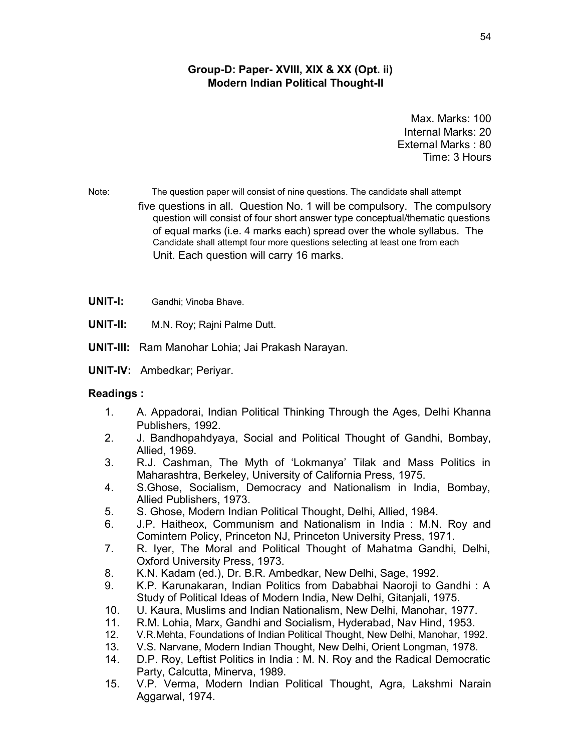# **Group-D: Paper- XVIII, XIX & XX (Opt. ii) Modern Indian Political Thought-II**

Max. Marks: 100 Internal Marks: 20 External Marks : 80 Time: 3 Hours

Note: The question paper will consist of nine questions. The candidate shall attempt five questions in all. Question No. 1 will be compulsory. The compulsory question will consist of four short answer type conceptual/thematic questions of equal marks (i.e. 4 marks each) spread over the whole syllabus. The Candidate shall attempt four more questions selecting at least one from each Unit. Each question will carry 16 marks.

- **UNIT-I:** Gandhi; Vinoba Bhave.
- **UNIT-II:** M.N. Roy; Rajni Palme Dutt.
- **UNIT-III:** Ram Manohar Lohia; Jai Prakash Narayan.
- **UNIT-IV:** Ambedkar; Periyar.

- 1. A. Appadorai, Indian Political Thinking Through the Ages, Delhi Khanna Publishers, 1992.
- 2. J. Bandhopahdyaya, Social and Political Thought of Gandhi, Bombay, Allied, 1969.
- 3. R.J. Cashman, The Myth of 'Lokmanya' Tilak and Mass Politics in Maharashtra, Berkeley, University of California Press, 1975.
- 4. S.Ghose, Socialism, Democracy and Nationalism in India, Bombay, Allied Publishers, 1973.
- 5. S. Ghose, Modern Indian Political Thought, Delhi, Allied, 1984.
- 6. J.P. Haitheox, Communism and Nationalism in India : M.N. Roy and Comintern Policy, Princeton NJ, Princeton University Press, 1971.
- 7. R. Iyer, The Moral and Political Thought of Mahatma Gandhi, Delhi, Oxford University Press, 1973.
- 8. K.N. Kadam (ed.), Dr. B.R. Ambedkar, New Delhi, Sage, 1992.
- 9. K.P. Karunakaran, Indian Politics from Dababhai Naoroji to Gandhi : A Study of Political Ideas of Modern India, New Delhi, Gitanjali, 1975.
- 10. U. Kaura, Muslims and Indian Nationalism, New Delhi, Manohar, 1977.
- 11. R.M. Lohia, Marx, Gandhi and Socialism, Hyderabad, Nav Hind, 1953.
- 12. V.R.Mehta, Foundations of Indian Political Thought, New Delhi, Manohar, 1992.
- 13. V.S. Narvane, Modern Indian Thought, New Delhi, Orient Longman, 1978.
- 14. D.P. Roy, Leftist Politics in India : M. N. Roy and the Radical Democratic Party, Calcutta, Minerva, 1989.
- 15. V.P. Verma, Modern Indian Political Thought, Agra, Lakshmi Narain Aggarwal, 1974.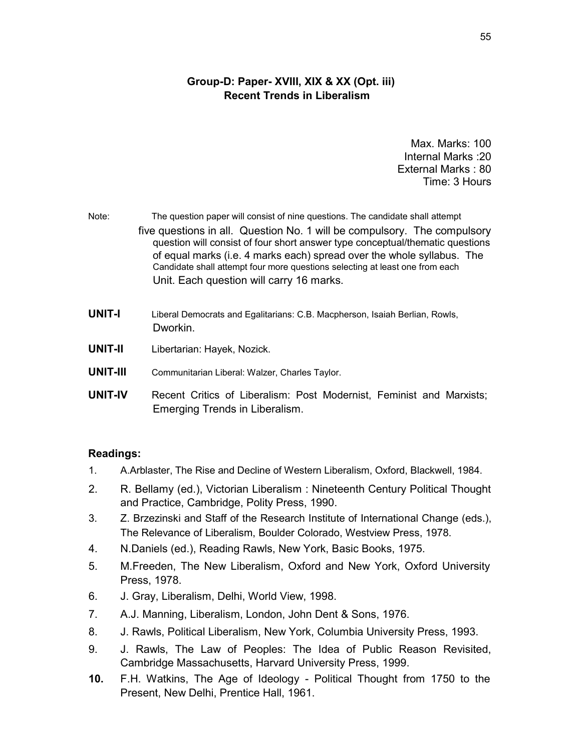# **Group-D: Paper- XVIII, XIX & XX (Opt. iii) Recent Trends in Liberalism**

Max. Marks: 100 Internal Marks :20 External Marks : 80 Time: 3 Hours

Note: The question paper will consist of nine questions. The candidate shall attempt five questions in all. Question No. 1 will be compulsory. The compulsory question will consist of four short answer type conceptual/thematic questions of equal marks (i.e. 4 marks each) spread over the whole syllabus. The Candidate shall attempt four more questions selecting at least one from each Unit. Each question will carry 16 marks.

- **UNIT-I** Liberal Democrats and Egalitarians: C.B. Macpherson, Isaiah Berlian, Rowls, Dworkin.
- **UNIT-II** Libertarian: Hayek, Nozick.
- **UNIT-III** Communitarian Liberal: Walzer, Charles Taylor.
- **UNIT-IV** Recent Critics of Liberalism: Post Modernist, Feminist and Marxists; Emerging Trends in Liberalism.

- 1. A.Arblaster, The Rise and Decline of Western Liberalism, Oxford, Blackwell, 1984.
- 2. R. Bellamy (ed.), Victorian Liberalism : Nineteenth Century Political Thought and Practice, Cambridge, Polity Press, 1990.
- 3. Z. Brzezinski and Staff of the Research Institute of International Change (eds.), The Relevance of Liberalism, Boulder Colorado, Westview Press, 1978.
- 4. N.Daniels (ed.), Reading Rawls, New York, Basic Books, 1975.
- 5. M.Freeden, The New Liberalism, Oxford and New York, Oxford University Press, 1978.
- 6. J. Gray, Liberalism, Delhi, World View, 1998.
- 7. A.J. Manning, Liberalism, London, John Dent & Sons, 1976.
- 8. J. Rawls, Political Liberalism, New York, Columbia University Press, 1993.
- 9. J. Rawls, The Law of Peoples: The Idea of Public Reason Revisited, Cambridge Massachusetts, Harvard University Press, 1999.
- **10.** F.H. Watkins, The Age of Ideology Political Thought from 1750 to the Present, New Delhi, Prentice Hall, 1961.